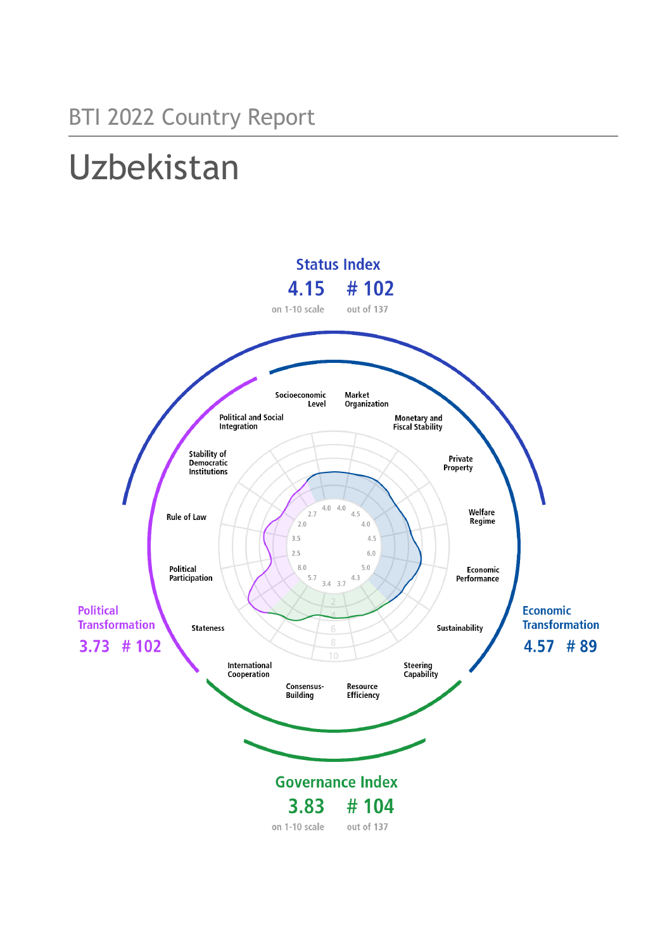# Uzbekistan

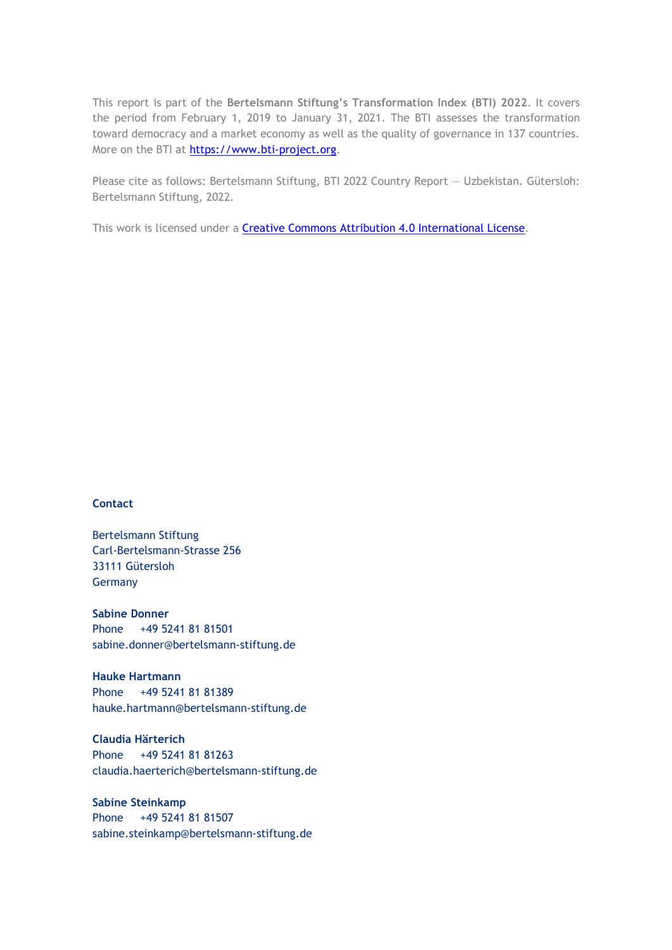This report is part of the **Bertelsmann Stiftung's Transformation Index (BTI) 2022**. It covers the period from February 1, 2019 to January 31, 2021. The BTI assesses the transformation toward democracy and a market economy as well as the quality of governance in 137 countries. More on the BTI at [https://www.bti-project.org.](https://www.bti-project.org/)

Please cite as follows: Bertelsmann Stiftung, BTI 2022 Country Report — Uzbekistan. Gütersloh: Bertelsmann Stiftung, 2022.

This work is licensed under a **Creative Commons Attribution 4.0 International License**.

#### **Contact**

Bertelsmann Stiftung Carl-Bertelsmann-Strasse 256 33111 Gütersloh Germany

**Sabine Donner** Phone +49 5241 81 81501 sabine.donner@bertelsmann-stiftung.de

**Hauke Hartmann** Phone +49 5241 81 81389 hauke.hartmann@bertelsmann-stiftung.de

**Claudia Härterich** Phone +49 5241 81 81263 claudia.haerterich@bertelsmann-stiftung.de

#### **Sabine Steinkamp** Phone +49 5241 81 81507 sabine.steinkamp@bertelsmann-stiftung.de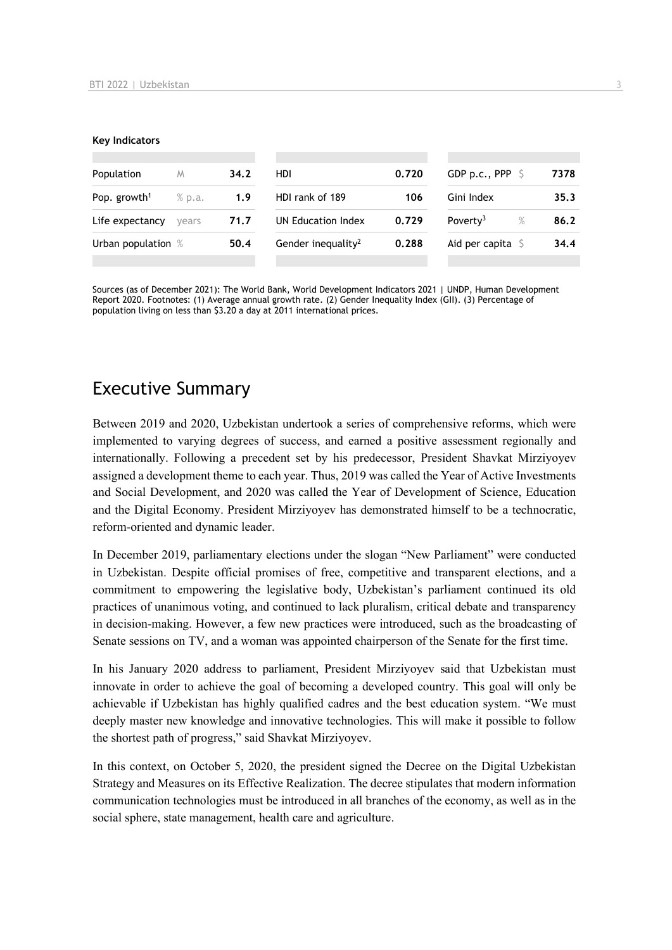#### **Key Indicators**

| Population               | M      | 34.2 | HDI                            | 0.720 | GDP p.c., PPP $\ S$          | 7378 |
|--------------------------|--------|------|--------------------------------|-------|------------------------------|------|
| Pop. growth <sup>1</sup> | % p.a. | 1.9  | HDI rank of 189                | 106   | Gini Index                   | 35.3 |
| Life expectancy          | vears  | 71.7 | UN Education Index             | 0.729 | Poverty <sup>3</sup><br>$\%$ | 86.2 |
| Urban population %       |        | 50.4 | Gender inequality <sup>2</sup> | 0.288 | Aid per capita $\mathsf S$   | 34.4 |
|                          |        |      |                                |       |                              |      |

Sources (as of December 2021): The World Bank, World Development Indicators 2021 | UNDP, Human Development Report 2020. Footnotes: (1) Average annual growth rate. (2) Gender Inequality Index (GII). (3) Percentage of population living on less than \$3.20 a day at 2011 international prices.

## Executive Summary

Between 2019 and 2020, Uzbekistan undertook a series of comprehensive reforms, which were implemented to varying degrees of success, and earned a positive assessment regionally and internationally. Following a precedent set by his predecessor, President Shavkat Mirziyoyev assigned a development theme to each year. Thus, 2019 was called the Year of Active Investments and Social Development, and 2020 was called the Year of Development of Science, Education and the Digital Economy. President Mirziyoyev has demonstrated himself to be a technocratic, reform-oriented and dynamic leader.

In December 2019, parliamentary elections under the slogan "New Parliament" were conducted in Uzbekistan. Despite official promises of free, competitive and transparent elections, and a commitment to empowering the legislative body, Uzbekistan's parliament continued its old practices of unanimous voting, and continued to lack pluralism, critical debate and transparency in decision-making. However, a few new practices were introduced, such as the broadcasting of Senate sessions on TV, and a woman was appointed chairperson of the Senate for the first time.

In his January 2020 address to parliament, President Mirziyoyev said that Uzbekistan must innovate in order to achieve the goal of becoming a developed country. This goal will only be achievable if Uzbekistan has highly qualified cadres and the best education system. "We must deeply master new knowledge and innovative technologies. This will make it possible to follow the shortest path of progress," said Shavkat Mirziyoyev.

In this context, on October 5, 2020, the president signed the Decree on the Digital Uzbekistan Strategy and Measures on its Effective Realization. The decree stipulates that modern information communication technologies must be introduced in all branches of the economy, as well as in the social sphere, state management, health care and agriculture.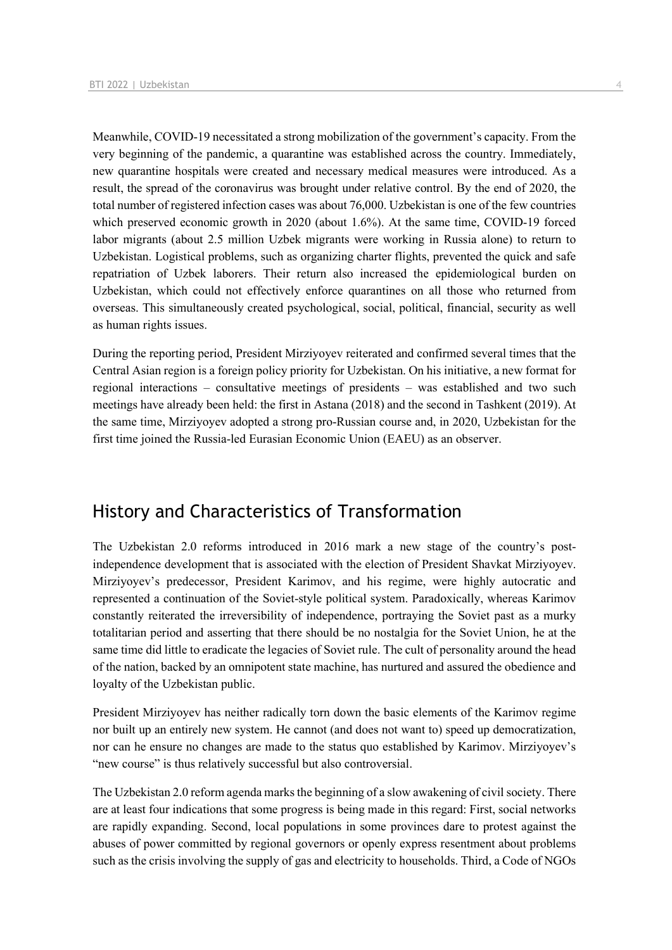Meanwhile, COVID-19 necessitated a strong mobilization of the government's capacity. From the very beginning of the pandemic, a quarantine was established across the country. Immediately, new quarantine hospitals were created and necessary medical measures were introduced. As a result, the spread of the coronavirus was brought under relative control. By the end of 2020, the total number of registered infection cases was about 76,000. Uzbekistan is one of the few countries which preserved economic growth in 2020 (about 1.6%). At the same time, COVID-19 forced labor migrants (about 2.5 million Uzbek migrants were working in Russia alone) to return to Uzbekistan. Logistical problems, such as organizing charter flights, prevented the quick and safe repatriation of Uzbek laborers. Their return also increased the epidemiological burden on Uzbekistan, which could not effectively enforce quarantines on all those who returned from overseas. This simultaneously created psychological, social, political, financial, security as well as human rights issues.

During the reporting period, President Mirziyoyev reiterated and confirmed several times that the Central Asian region is a foreign policy priority for Uzbekistan. On his initiative, a new format for regional interactions – consultative meetings of presidents – was established and two such meetings have already been held: the first in Astana (2018) and the second in Tashkent (2019). At the same time, Mirziyoyev adopted a strong pro-Russian course and, in 2020, Uzbekistan for the first time joined the Russia-led Eurasian Economic Union (EAEU) as an observer.

## History and Characteristics of Transformation

The Uzbekistan 2.0 reforms introduced in 2016 mark a new stage of the country's postindependence development that is associated with the election of President Shavkat Mirziyoyev. Mirziyoyev's predecessor, President Karimov, and his regime, were highly autocratic and represented a continuation of the Soviet-style political system. Paradoxically, whereas Karimov constantly reiterated the irreversibility of independence, portraying the Soviet past as a murky totalitarian period and asserting that there should be no nostalgia for the Soviet Union, he at the same time did little to eradicate the legacies of Soviet rule. The cult of personality around the head of the nation, backed by an omnipotent state machine, has nurtured and assured the obedience and loyalty of the Uzbekistan public.

President Mirziyoyev has neither radically torn down the basic elements of the Karimov regime nor built up an entirely new system. He cannot (and does not want to) speed up democratization, nor can he ensure no changes are made to the status quo established by Karimov. Mirziyoyev's "new course" is thus relatively successful but also controversial.

The Uzbekistan 2.0 reform agenda marks the beginning of a slow awakening of civil society. There are at least four indications that some progress is being made in this regard: First, social networks are rapidly expanding. Second, local populations in some provinces dare to protest against the abuses of power committed by regional governors or openly express resentment about problems such as the crisis involving the supply of gas and electricity to households. Third, a Code of NGOs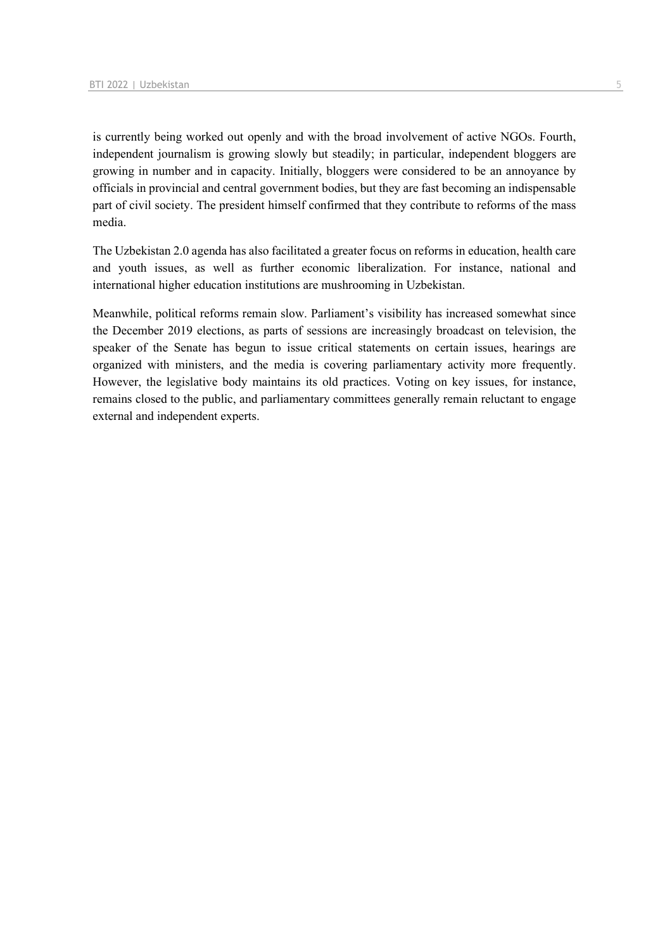is currently being worked out openly and with the broad involvement of active NGOs. Fourth, independent journalism is growing slowly but steadily; in particular, independent bloggers are growing in number and in capacity. Initially, bloggers were considered to be an annoyance by officials in provincial and central government bodies, but they are fast becoming an indispensable part of civil society. The president himself confirmed that they contribute to reforms of the mass media.

The Uzbekistan 2.0 agenda has also facilitated a greater focus on reforms in education, health care and youth issues, as well as further economic liberalization. For instance, national and international higher education institutions are mushrooming in Uzbekistan.

Meanwhile, political reforms remain slow. Parliament's visibility has increased somewhat since the December 2019 elections, as parts of sessions are increasingly broadcast on television, the speaker of the Senate has begun to issue critical statements on certain issues, hearings are organized with ministers, and the media is covering parliamentary activity more frequently. However, the legislative body maintains its old practices. Voting on key issues, for instance, remains closed to the public, and parliamentary committees generally remain reluctant to engage external and independent experts.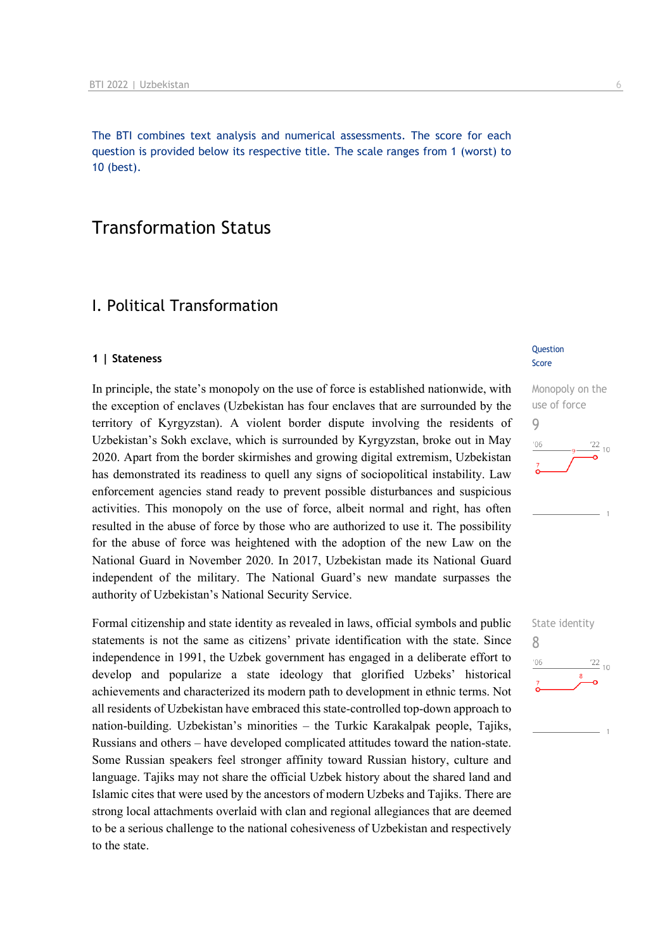The BTI combines text analysis and numerical assessments. The score for each question is provided below its respective title. The scale ranges from 1 (worst) to 10 (best).

## Transformation Status

## I. Political Transformation

#### **1 | Stateness**

In principle, the state's monopoly on the use of force is established nationwide, with the exception of enclaves (Uzbekistan has four enclaves that are surrounded by the territory of Kyrgyzstan). A violent border dispute involving the residents of Uzbekistan's Sokh exclave, which is surrounded by Kyrgyzstan, broke out in May 2020. Apart from the border skirmishes and growing digital extremism, Uzbekistan has demonstrated its readiness to quell any signs of sociopolitical instability. Law enforcement agencies stand ready to prevent possible disturbances and suspicious activities. This monopoly on the use of force, albeit normal and right, has often resulted in the abuse of force by those who are authorized to use it. The possibility for the abuse of force was heightened with the adoption of the new Law on the National Guard in November 2020. In 2017, Uzbekistan made its National Guard independent of the military. The National Guard's new mandate surpasses the authority of Uzbekistan's National Security Service.

Formal citizenship and state identity as revealed in laws, official symbols and public statements is not the same as citizens' private identification with the state. Since independence in 1991, the Uzbek government has engaged in a deliberate effort to develop and popularize a state ideology that glorified Uzbeks' historical achievements and characterized its modern path to development in ethnic terms. Not all residents of Uzbekistan have embraced this state-controlled top-down approach to nation-building. Uzbekistan's minorities – the Turkic Karakalpak people, Tajiks, Russians and others – have developed complicated attitudes toward the nation-state. Some Russian speakers feel stronger affinity toward Russian history, culture and language. Tajiks may not share the official Uzbek history about the shared land and Islamic cites that were used by the ancestors of modern Uzbeks and Tajiks. There are strong local attachments overlaid with clan and regional allegiances that are deemed to be a serious challenge to the national cohesiveness of Uzbekistan and respectively to the state.

#### **Question** Score



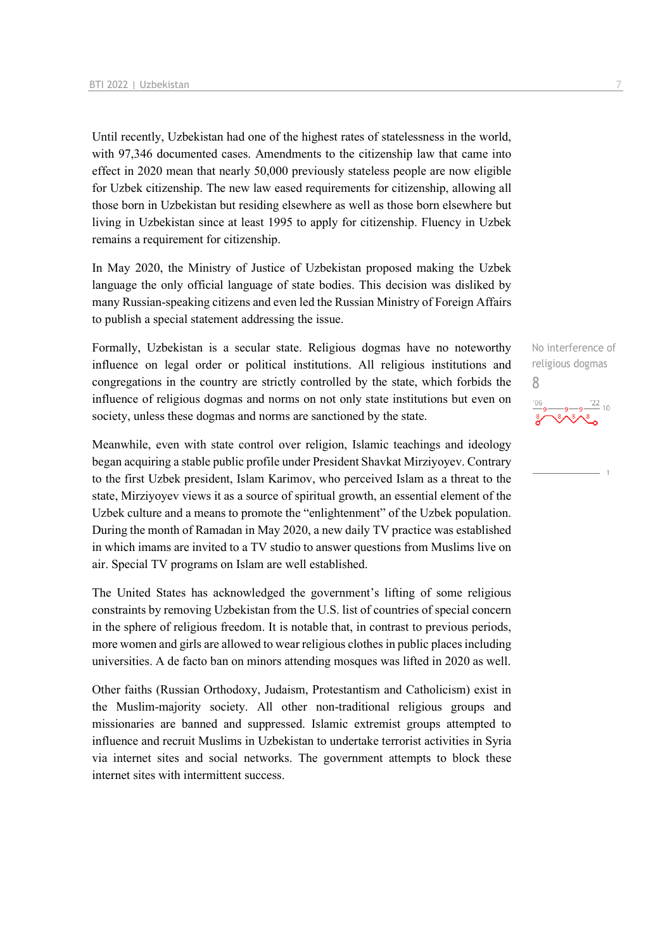Until recently, Uzbekistan had one of the highest rates of statelessness in the world, with 97,346 documented cases. Amendments to the citizenship law that came into effect in 2020 mean that nearly 50,000 previously stateless people are now eligible for Uzbek citizenship. The new law eased requirements for citizenship, allowing all those born in Uzbekistan but residing elsewhere as well as those born elsewhere but living in Uzbekistan since at least 1995 to apply for citizenship. Fluency in Uzbek remains a requirement for citizenship.

In May 2020, the Ministry of Justice of Uzbekistan proposed making the Uzbek language the only official language of state bodies. This decision was disliked by many Russian-speaking citizens and even led the Russian Ministry of Foreign Affairs to publish a special statement addressing the issue.

Formally, Uzbekistan is a secular state. Religious dogmas have no noteworthy influence on legal order or political institutions. All religious institutions and congregations in the country are strictly controlled by the state, which forbids the influence of religious dogmas and norms on not only state institutions but even on society, unless these dogmas and norms are sanctioned by the state.

Meanwhile, even with state control over religion, Islamic teachings and ideology began acquiring a stable public profile under President Shavkat Mirziyoyev. Contrary to the first Uzbek president, Islam Karimov, who perceived Islam as a threat to the state, Mirziyoyev views it as a source of spiritual growth, an essential element of the Uzbek culture and a means to promote the "enlightenment" of the Uzbek population. During the month of Ramadan in May 2020, a new daily TV practice was established in which imams are invited to a TV studio to answer questions from Muslims live on air. Special TV programs on Islam are well established.

The United States has acknowledged the government's lifting of some religious constraints by removing Uzbekistan from the U.S. list of countries of special concern in the sphere of religious freedom. It is notable that, in contrast to previous periods, more women and girls are allowed to wear religious clothes in public places including universities. A de facto ban on minors attending mosques was lifted in 2020 as well.

Other faiths (Russian Orthodoxy, Judaism, Protestantism and Catholicism) exist in the Muslim-majority society. All other non-traditional religious groups and missionaries are banned and suppressed. Islamic extremist groups attempted to influence and recruit Muslims in Uzbekistan to undertake terrorist activities in Syria via internet sites and social networks. The government attempts to block these internet sites with intermittent success.

No interference of religious dogmas 8

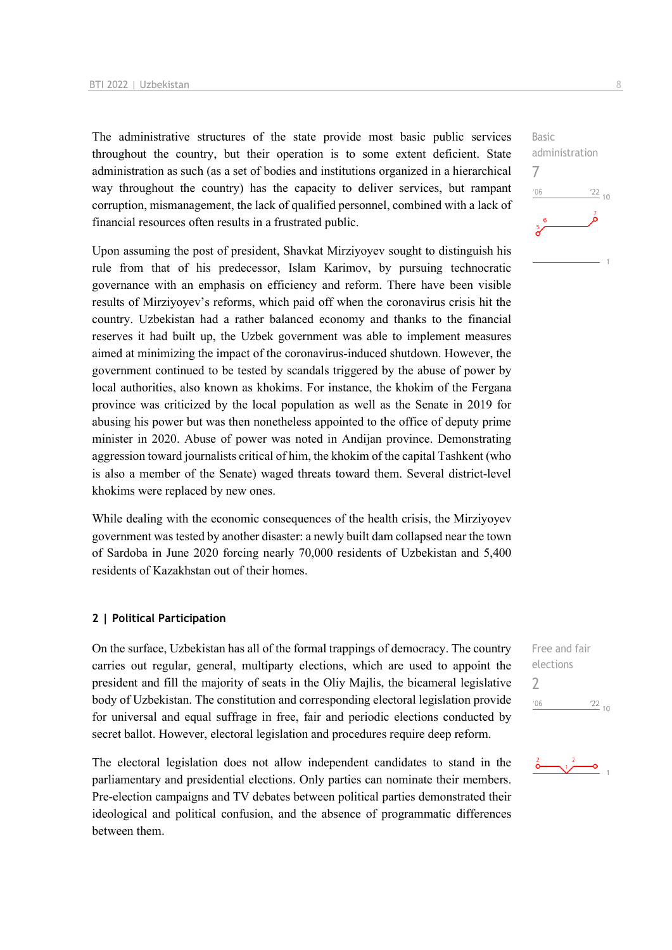The administrative structures of the state provide most basic public services throughout the country, but their operation is to some extent deficient. State administration as such (as a set of bodies and institutions organized in a hierarchical way throughout the country) has the capacity to deliver services, but rampant corruption, mismanagement, the lack of qualified personnel, combined with a lack of financial resources often results in a frustrated public.

Upon assuming the post of president, Shavkat Mirziyoyev sought to distinguish his rule from that of his predecessor, Islam Karimov, by pursuing technocratic governance with an emphasis on efficiency and reform. There have been visible results of Mirziyoyev's reforms, which paid off when the coronavirus crisis hit the country. Uzbekistan had a rather balanced economy and thanks to the financial reserves it had built up, the Uzbek government was able to implement measures aimed at minimizing the impact of the coronavirus-induced shutdown. However, the government continued to be tested by scandals triggered by the abuse of power by local authorities, also known as khokims. For instance, the khokim of the Fergana province was criticized by the local population as well as the Senate in 2019 for abusing his power but was then nonetheless appointed to the office of deputy prime minister in 2020. Abuse of power was noted in Andijan province. Demonstrating aggression toward journalists critical of him, the khokim of the capital Tashkent (who is also a member of the Senate) waged threats toward them. Several district-level khokims were replaced by new ones.

While dealing with the economic consequences of the health crisis, the Mirziyovev government was tested by another disaster: a newly built dam collapsed near the town of Sardoba in June 2020 forcing nearly 70,000 residents of Uzbekistan and 5,400 residents of Kazakhstan out of their homes.

#### **2 | Political Participation**

On the surface, Uzbekistan has all of the formal trappings of democracy. The country carries out regular, general, multiparty elections, which are used to appoint the president and fill the majority of seats in the Oliy Majlis, the bicameral legislative body of Uzbekistan. The constitution and corresponding electoral legislation provide for universal and equal suffrage in free, fair and periodic elections conducted by secret ballot. However, electoral legislation and procedures require deep reform.

The electoral legislation does not allow independent candidates to stand in the parliamentary and presidential elections. Only parties can nominate their members. Pre-election campaigns and TV debates between political parties demonstrated their ideological and political confusion, and the absence of programmatic differences between them.

Basic administration 7  $-06$  $\frac{22}{10}$ 

Free and fair elections 2 $\frac{22}{10}$  $^{\prime}06$ 

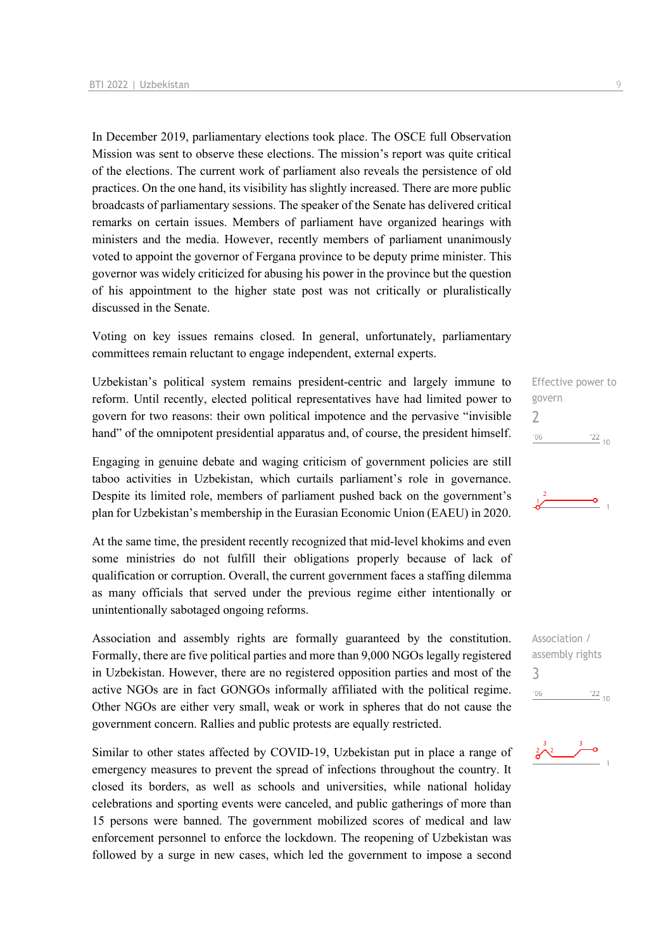In December 2019, parliamentary elections took place. The OSCE full Observation Mission was sent to observe these elections. The mission's report was quite critical of the elections. The current work of parliament also reveals the persistence of old practices. On the one hand, its visibility has slightly increased. There are more public broadcasts of parliamentary sessions. The speaker of the Senate has delivered critical remarks on certain issues. Members of parliament have organized hearings with ministers and the media. However, recently members of parliament unanimously voted to appoint the governor of Fergana province to be deputy prime minister. This governor was widely criticized for abusing his power in the province but the question of his appointment to the higher state post was not critically or pluralistically discussed in the Senate.

Voting on key issues remains closed. In general, unfortunately, parliamentary committees remain reluctant to engage independent, external experts.

Uzbekistan's political system remains president-centric and largely immune to reform. Until recently, elected political representatives have had limited power to govern for two reasons: their own political impotence and the pervasive "invisible hand" of the omnipotent presidential apparatus and, of course, the president himself.

Engaging in genuine debate and waging criticism of government policies are still taboo activities in Uzbekistan, which curtails parliament's role in governance. Despite its limited role, members of parliament pushed back on the government's plan for Uzbekistan's membership in the Eurasian Economic Union (EAEU) in 2020.

At the same time, the president recently recognized that mid-level khokims and even some ministries do not fulfill their obligations properly because of lack of qualification or corruption. Overall, the current government faces a staffing dilemma as many officials that served under the previous regime either intentionally or unintentionally sabotaged ongoing reforms.

Association and assembly rights are formally guaranteed by the constitution. Formally, there are five political parties and more than 9,000 NGOs legally registered in Uzbekistan. However, there are no registered opposition parties and most of the active NGOs are in fact GONGOs informally affiliated with the political regime. Other NGOs are either very small, weak or work in spheres that do not cause the government concern. Rallies and public protests are equally restricted.

Similar to other states affected by COVID-19, Uzbekistan put in place a range of emergency measures to prevent the spread of infections throughout the country. It closed its borders, as well as schools and universities, while national holiday celebrations and sporting events were canceled, and public gatherings of more than 15 persons were banned. The government mobilized scores of medical and law enforcement personnel to enforce the lockdown. The reopening of Uzbekistan was followed by a surge in new cases, which led the government to impose a second

Effective power to govern  $\overline{\phantom{0}}$  $^{\prime}06$  $\frac{22}{10}$ 



Association / assembly rights 3 $\frac{22}{10}$  $'06$ 

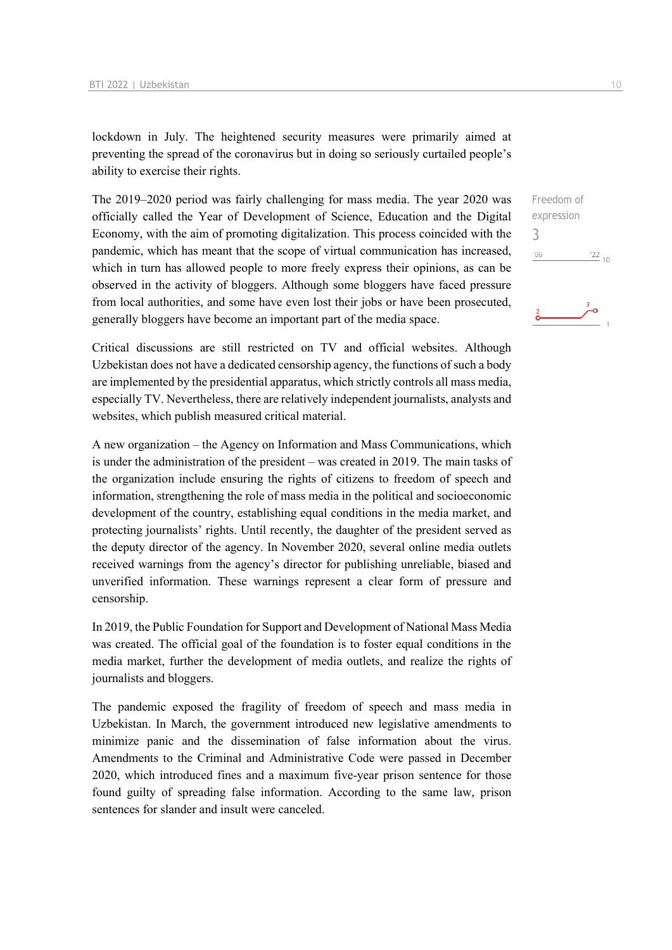lockdown in July. The heightened security measures were primarily aimed at preventing the spread of the coronavirus but in doing so seriously curtailed people's ability to exercise their rights.

The 2019–2020 period was fairly challenging for mass media. The year 2020 was officially called the Year of Development of Science, Education and the Digital Economy, with the aim of promoting digitalization. This process coincided with the pandemic, which has meant that the scope of virtual communication has increased, which in turn has allowed people to more freely express their opinions, as can be observed in the activity of bloggers. Although some bloggers have faced pressure from local authorities, and some have even lost their jobs or have been prosecuted, generally bloggers have become an important part of the media space.

Critical discussions are still restricted on TV and official websites. Although Uzbekistan does not have a dedicated censorship agency, the functions of such a body are implemented by the presidential apparatus, which strictly controls all mass media, especially TV. Nevertheless, there are relatively independent journalists, analysts and websites, which publish measured critical material.

A new organization – the Agency on Information and Mass Communications, which is under the administration of the president – was created in 2019. The main tasks of the organization include ensuring the rights of citizens to freedom of speech and information, strengthening the role of mass media in the political and socioeconomic development of the country, establishing equal conditions in the media market, and protecting journalists' rights. Until recently, the daughter of the president served as the deputy director of the agency. In November 2020, several online media outlets received warnings from the agency's director for publishing unreliable, biased and unverified information. These warnings represent a clear form of pressure and censorship.

In 2019, the Public Foundation for Support and Development of National Mass Media was created. The official goal of the foundation is to foster equal conditions in the media market, further the development of media outlets, and realize the rights of journalists and bloggers.

The pandemic exposed the fragility of freedom of speech and mass media in Uzbekistan. In March, the government introduced new legislative amendments to minimize panic and the dissemination of false information about the virus. Amendments to the Criminal and Administrative Code were passed in December 2020, which introduced fines and a maximum five-year prison sentence for those found guilty of spreading false information. According to the same law, prison sentences for slander and insult were canceled.

Freedom of expression 3 $06'$  $\frac{22}{10}$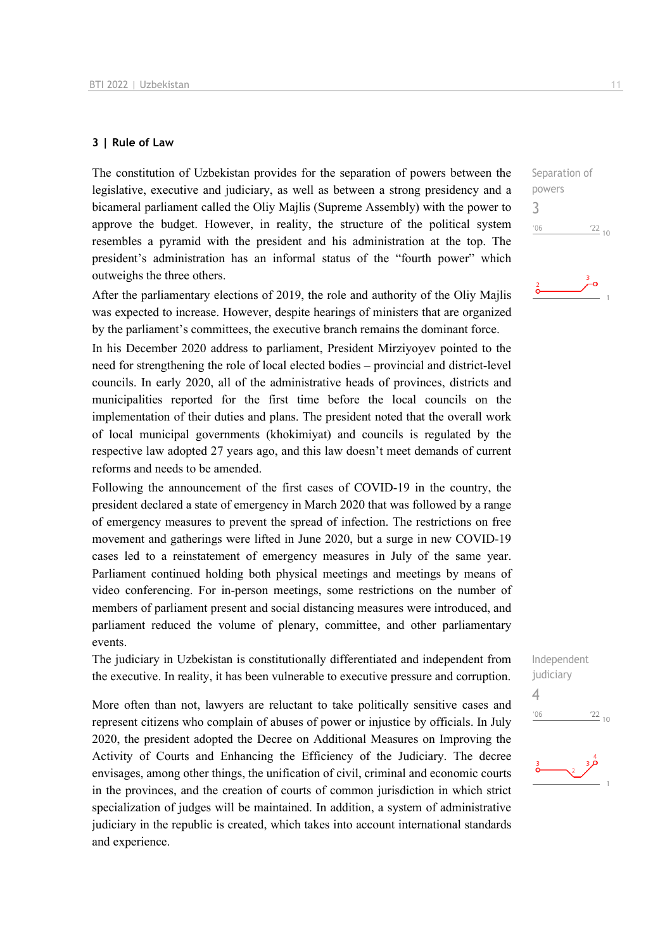#### **3 | Rule of Law**

The constitution of Uzbekistan provides for the separation of powers between the legislative, executive and judiciary, as well as between a strong presidency and a bicameral parliament called the Oliy Majlis (Supreme Assembly) with the power to approve the budget. However, in reality, the structure of the political system resembles a pyramid with the president and his administration at the top. The president's administration has an informal status of the "fourth power" which outweighs the three others.

After the parliamentary elections of 2019, the role and authority of the Oliy Majlis was expected to increase. However, despite hearings of ministers that are organized by the parliament's committees, the executive branch remains the dominant force.

In his December 2020 address to parliament, President Mirziyoyev pointed to the need for strengthening the role of local elected bodies – provincial and district-level councils. In early 2020, all of the administrative heads of provinces, districts and municipalities reported for the first time before the local councils on the implementation of their duties and plans. The president noted that the overall work of local municipal governments (khokimiyat) and councils is regulated by the respective law adopted 27 years ago, and this law doesn't meet demands of current reforms and needs to be amended.

Following the announcement of the first cases of COVID-19 in the country, the president declared a state of emergency in March 2020 that was followed by a range of emergency measures to prevent the spread of infection. The restrictions on free movement and gatherings were lifted in June 2020, but a surge in new COVID-19 cases led to a reinstatement of emergency measures in July of the same year. Parliament continued holding both physical meetings and meetings by means of video conferencing. For in-person meetings, some restrictions on the number of members of parliament present and social distancing measures were introduced, and parliament reduced the volume of plenary, committee, and other parliamentary events.

The judiciary in Uzbekistan is constitutionally differentiated and independent from the executive. In reality, it has been vulnerable to executive pressure and corruption.

More often than not, lawyers are reluctant to take politically sensitive cases and represent citizens who complain of abuses of power or injustice by officials. In July 2020, the president adopted the Decree on Additional Measures on Improving the Activity of Courts and Enhancing the Efficiency of the Judiciary. The decree envisages, among other things, the unification of civil, criminal and economic courts in the provinces, and the creation of courts of common jurisdiction in which strict specialization of judges will be maintained. In addition, a system of administrative judiciary in the republic is created, which takes into account international standards and experience.

 $\frac{22}{10}$ 

Separation of powers 3

 $^{\prime}06$ 





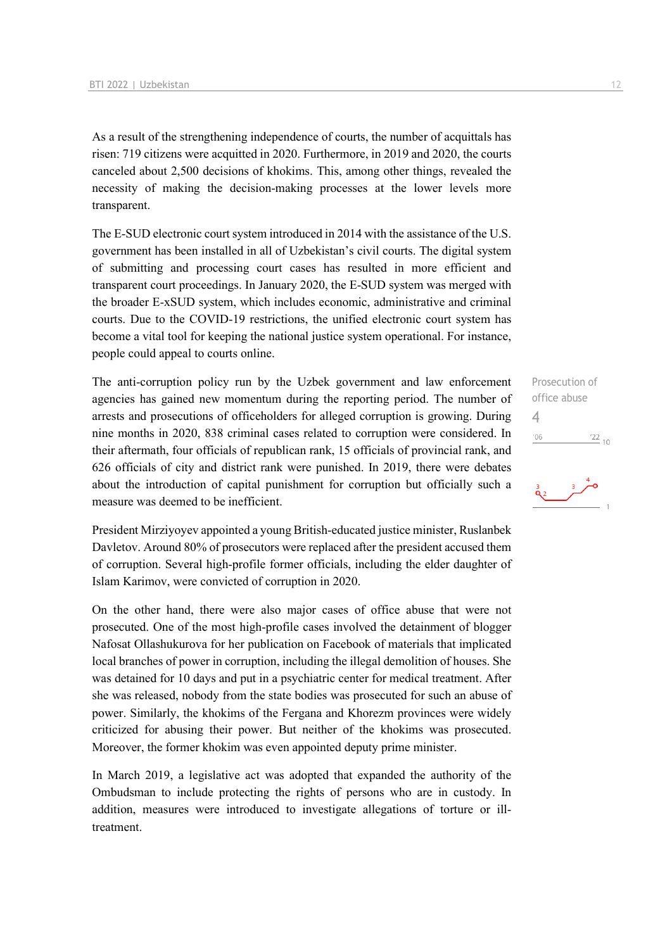As a result of the strengthening independence of courts, the number of acquittals has risen: 719 citizens were acquitted in 2020. Furthermore, in 2019 and 2020, the courts canceled about 2,500 decisions of khokims. This, among other things, revealed the necessity of making the decision-making processes at the lower levels more transparent.

The E-SUD electronic court system introduced in 2014 with the assistance of the U.S. government has been installed in all of Uzbekistan's civil courts. The digital system of submitting and processing court cases has resulted in more efficient and transparent court proceedings. In January 2020, the E-SUD system was merged with the broader E-xSUD system, which includes economic, administrative and criminal courts. Due to the COVID-19 restrictions, the unified electronic court system has become a vital tool for keeping the national justice system operational. For instance, people could appeal to courts online.

The anti-corruption policy run by the Uzbek government and law enforcement agencies has gained new momentum during the reporting period. The number of arrests and prosecutions of officeholders for alleged corruption is growing. During nine months in 2020, 838 criminal cases related to corruption were considered. In their aftermath, four officials of republican rank, 15 officials of provincial rank, and 626 officials of city and district rank were punished. In 2019, there were debates about the introduction of capital punishment for corruption but officially such a measure was deemed to be inefficient.

President Mirziyoyev appointed a young British-educated justice minister, Ruslanbek Davletov. Around 80% of prosecutors were replaced after the president accused them of corruption. Several high-profile former officials, including the elder daughter of Islam Karimov, were convicted of corruption in 2020.

On the other hand, there were also major cases of office abuse that were not prosecuted. One of the most high-profile cases involved the detainment of blogger Nafosat Ollashukurova for her publication on Facebook of materials that implicated local branches of power in corruption, including the illegal demolition of houses. She was detained for 10 days and put in a psychiatric center for medical treatment. After she was released, nobody from the state bodies was prosecuted for such an abuse of power. Similarly, the khokims of the Fergana and Khorezm provinces were widely criticized for abusing their power. But neither of the khokims was prosecuted. Moreover, the former khokim was even appointed deputy prime minister.

In March 2019, a legislative act was adopted that expanded the authority of the Ombudsman to include protecting the rights of persons who are in custody. In addition, measures were introduced to investigate allegations of torture or illtreatment.

Prosecution of office abuse  $\Delta$  $^{\prime}06$  $\frac{22}{10}$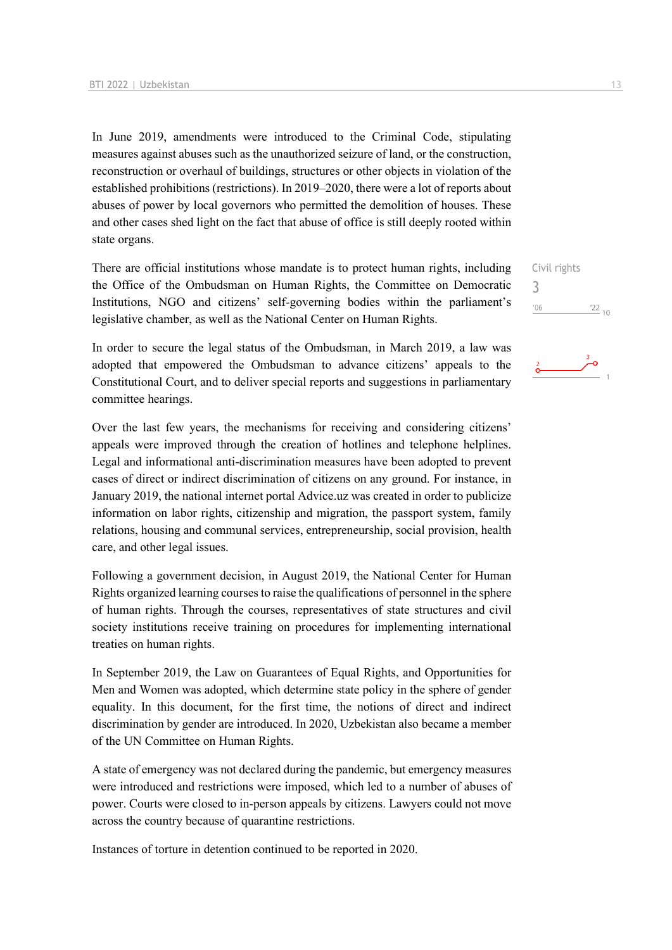In June 2019, amendments were introduced to the Criminal Code, stipulating measures against abuses such as the unauthorized seizure of land, or the construction, reconstruction or overhaul of buildings, structures or other objects in violation of the established prohibitions (restrictions). In 2019–2020, there were a lot of reports about abuses of power by local governors who permitted the demolition of houses. These and other cases shed light on the fact that abuse of office is still deeply rooted within state organs.

There are official institutions whose mandate is to protect human rights, including the Office of the Ombudsman on Human Rights, the Committee on Democratic Institutions, NGO and citizens' self-governing bodies within the parliament's legislative chamber, as well as the National Center on Human Rights.

In order to secure the legal status of the Ombudsman, in March 2019, a law was adopted that empowered the Ombudsman to advance citizens' appeals to the Constitutional Court, and to deliver special reports and suggestions in parliamentary committee hearings.

Over the last few years, the mechanisms for receiving and considering citizens' appeals were improved through the creation of hotlines and telephone helplines. Legal and informational anti-discrimination measures have been adopted to prevent cases of direct or indirect discrimination of citizens on any ground. For instance, in January 2019, the national internet portal Advice.uz was created in order to publicize information on labor rights, citizenship and migration, the passport system, family relations, housing and communal services, entrepreneurship, social provision, health care, and other legal issues.

Following a government decision, in August 2019, the National Center for Human Rights organized learning courses to raise the qualifications of personnel in the sphere of human rights. Through the courses, representatives of state structures and civil society institutions receive training on procedures for implementing international treaties on human rights.

In September 2019, the Law on Guarantees of Equal Rights, and Opportunities for Men and Women was adopted, which determine state policy in the sphere of gender equality. In this document, for the first time, the notions of direct and indirect discrimination by gender are introduced. In 2020, Uzbekistan also became a member of the UN Committee on Human Rights.

A state of emergency was not declared during the pandemic, but emergency measures were introduced and restrictions were imposed, which led to a number of abuses of power. Courts were closed to in-person appeals by citizens. Lawyers could not move across the country because of quarantine restrictions.

Instances of torture in detention continued to be reported in 2020.

Civil rights 3 $\frac{22}{10}$  $'06$ 

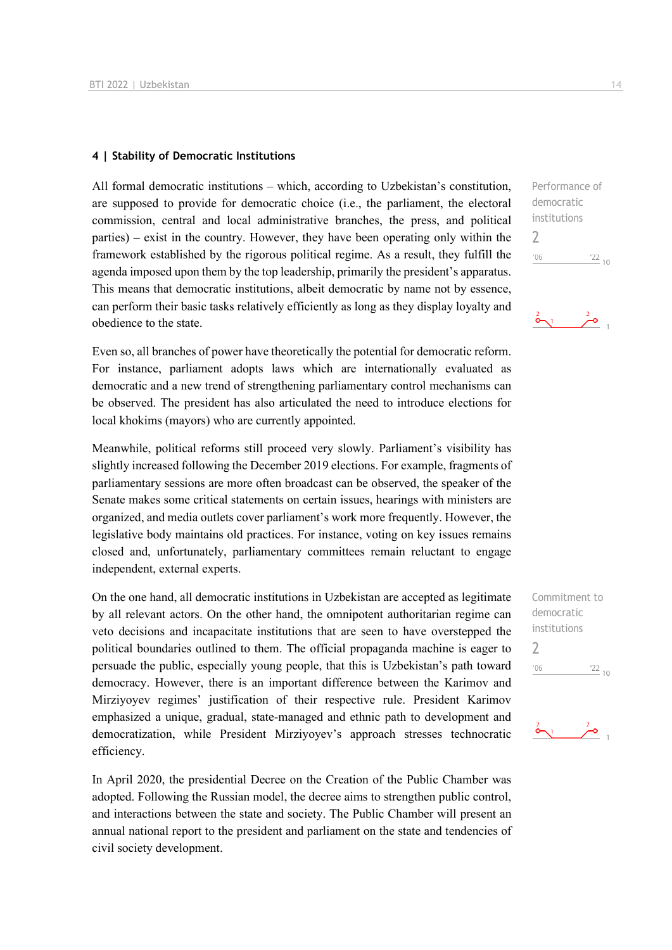#### **4 | Stability of Democratic Institutions**

All formal democratic institutions – which, according to Uzbekistan's constitution, are supposed to provide for democratic choice (i.e., the parliament, the electoral commission, central and local administrative branches, the press, and political parties) – exist in the country. However, they have been operating only within the framework established by the rigorous political regime. As a result, they fulfill the agenda imposed upon them by the top leadership, primarily the president's apparatus. This means that democratic institutions, albeit democratic by name not by essence, can perform their basic tasks relatively efficiently as long as they display loyalty and obedience to the state.

Even so, all branches of power have theoretically the potential for democratic reform. For instance, parliament adopts laws which are internationally evaluated as democratic and a new trend of strengthening parliamentary control mechanisms can be observed. The president has also articulated the need to introduce elections for local khokims (mayors) who are currently appointed.

Meanwhile, political reforms still proceed very slowly. Parliament's visibility has slightly increased following the December 2019 elections. For example, fragments of parliamentary sessions are more often broadcast can be observed, the speaker of the Senate makes some critical statements on certain issues, hearings with ministers are organized, and media outlets cover parliament's work more frequently. However, the legislative body maintains old practices. For instance, voting on key issues remains closed and, unfortunately, parliamentary committees remain reluctant to engage independent, external experts.

On the one hand, all democratic institutions in Uzbekistan are accepted as legitimate by all relevant actors. On the other hand, the omnipotent authoritarian regime can veto decisions and incapacitate institutions that are seen to have overstepped the political boundaries outlined to them. The official propaganda machine is eager to persuade the public, especially young people, that this is Uzbekistan's path toward democracy. However, there is an important difference between the Karimov and Mirziyoyev regimes' justification of their respective rule. President Karimov emphasized a unique, gradual, state-managed and ethnic path to development and democratization, while President Mirziyoyev's approach stresses technocratic efficiency.

In April 2020, the presidential Decree on the Creation of the Public Chamber was adopted. Following the Russian model, the decree aims to strengthen public control, and interactions between the state and society. The Public Chamber will present an annual national report to the president and parliament on the state and tendencies of civil society development.

Performance of democratic institutions

 $\frac{2}{\alpha}$   $\frac{2}{\alpha}$ 

 $122_{10}$ 

Commitment to democratic institutions

 $\frac{22}{10}$ 

 $\bar{c}$ 

2

 $'06$ 

 $\sum_{i=1}^{n}$ 

 $\overline{\phantom{0}}$ 

 $'06$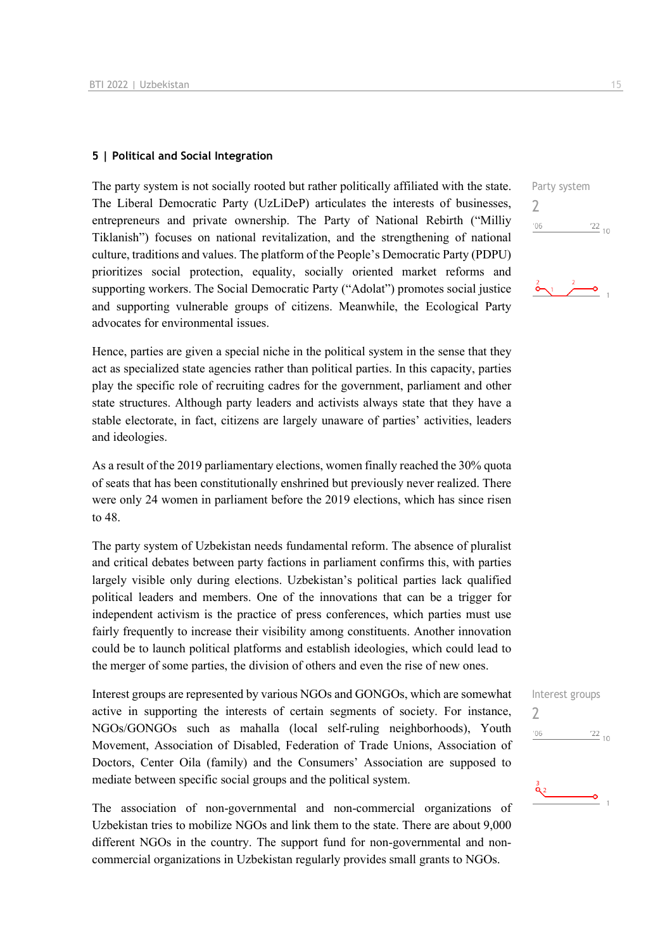#### **5 | Political and Social Integration**

The party system is not socially rooted but rather politically affiliated with the state. The Liberal Democratic Party (UzLiDeP) articulates the interests of businesses, entrepreneurs and private ownership. The Party of National Rebirth ("Milliy Tiklanish") focuses on national revitalization, and the strengthening of national culture, traditions and values. The platform of the People's Democratic Party (PDPU) prioritizes social protection, equality, socially oriented market reforms and supporting workers. The Social Democratic Party ("Adolat") promotes social justice and supporting vulnerable groups of citizens. Meanwhile, the Ecological Party advocates for environmental issues.

Hence, parties are given a special niche in the political system in the sense that they act as specialized state agencies rather than political parties. In this capacity, parties play the specific role of recruiting cadres for the government, parliament and other state structures. Although party leaders and activists always state that they have a stable electorate, in fact, citizens are largely unaware of parties' activities, leaders and ideologies.

As a result of the 2019 parliamentary elections, women finally reached the 30% quota of seats that has been constitutionally enshrined but previously never realized. There were only 24 women in parliament before the 2019 elections, which has since risen to 48.

The party system of Uzbekistan needs fundamental reform. The absence of pluralist and critical debates between party factions in parliament confirms this, with parties largely visible only during elections. Uzbekistan's political parties lack qualified political leaders and members. One of the innovations that can be a trigger for independent activism is the practice of press conferences, which parties must use fairly frequently to increase their visibility among constituents. Another innovation could be to launch political platforms and establish ideologies, which could lead to the merger of some parties, the division of others and even the rise of new ones.

Interest groups are represented by various NGOs and GONGOs, which are somewhat active in supporting the interests of certain segments of society. For instance, NGOs/GONGOs such as mahalla (local self-ruling neighborhoods), Youth Movement, Association of Disabled, Federation of Trade Unions, Association of Doctors, Center Oila (family) and the Consumers' Association are supposed to mediate between specific social groups and the political system.

The association of non-governmental and non-commercial organizations of Uzbekistan tries to mobilize NGOs and link them to the state. There are about 9,000 different NGOs in the country. The support fund for non-governmental and noncommercial organizations in Uzbekistan regularly provides small grants to NGOs.

Party system  $\overline{\phantom{0}}$  $\frac{22}{10}$  $'06$ 

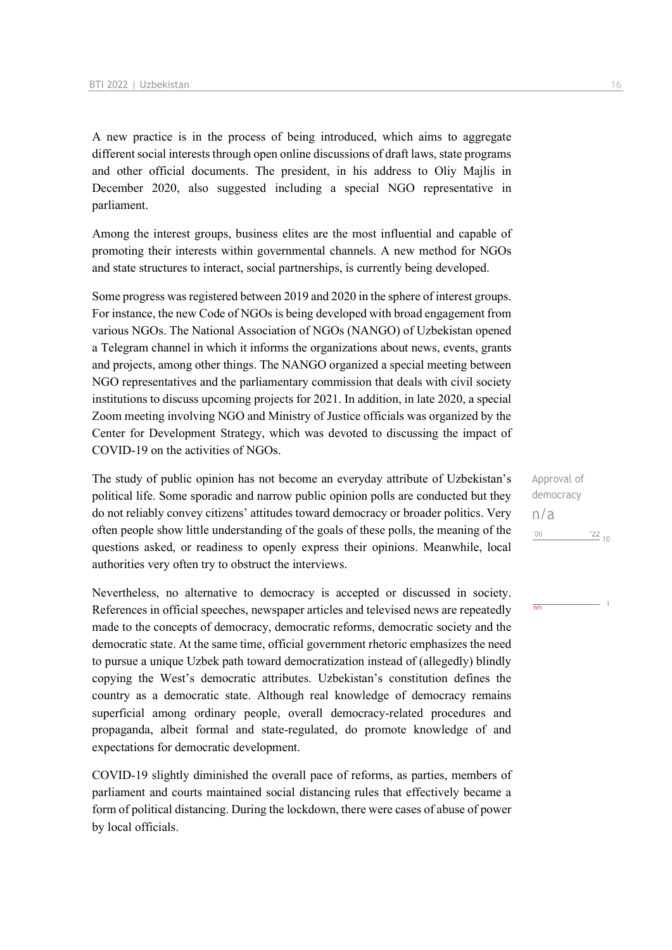A new practice is in the process of being introduced, which aims to aggregate different social interests through open online discussions of draft laws, state programs and other official documents. The president, in his address to Oliy Majlis in December 2020, also suggested including a special NGO representative in parliament.

Among the interest groups, business elites are the most influential and capable of promoting their interests within governmental channels. A new method for NGOs and state structures to interact, social partnerships, is currently being developed.

Some progress was registered between 2019 and 2020 in the sphere of interest groups. For instance, the new Code of NGOs is being developed with broad engagement from various NGOs. The National Association of NGOs (NANGO) of Uzbekistan opened a Telegram channel in which it informs the organizations about news, events, grants and projects, among other things. The NANGO organized a special meeting between NGO representatives and the parliamentary commission that deals with civil society institutions to discuss upcoming projects for 2021. In addition, in late 2020, a special Zoom meeting involving NGO and Ministry of Justice officials was organized by the Center for Development Strategy, which was devoted to discussing the impact of COVID-19 on the activities of NGOs.

The study of public opinion has not become an everyday attribute of Uzbekistan's political life. Some sporadic and narrow public opinion polls are conducted but they do not reliably convey citizens' attitudes toward democracy or broader politics. Very often people show little understanding of the goals of these polls, the meaning of the questions asked, or readiness to openly express their opinions. Meanwhile, local authorities very often try to obstruct the interviews.

Nevertheless, no alternative to democracy is accepted or discussed in society. References in official speeches, newspaper articles and televised news are repeatedly made to the concepts of democracy, democratic reforms, democratic society and the democratic state. At the same time, official government rhetoric emphasizes the need to pursue a unique Uzbek path toward democratization instead of (allegedly) blindly copying the West's democratic attributes. Uzbekistan's constitution defines the country as a democratic state. Although real knowledge of democracy remains superficial among ordinary people, overall democracy-related procedures and propaganda, albeit formal and state-regulated, do promote knowledge of and expectations for democratic development.

COVID-19 slightly diminished the overall pace of reforms, as parties, members of parliament and courts maintained social distancing rules that effectively became a form of political distancing. During the lockdown, there were cases of abuse of power by local officials.

Approval of democracy n/a $^{\prime}06$  $^{22}$  10

 $n/a$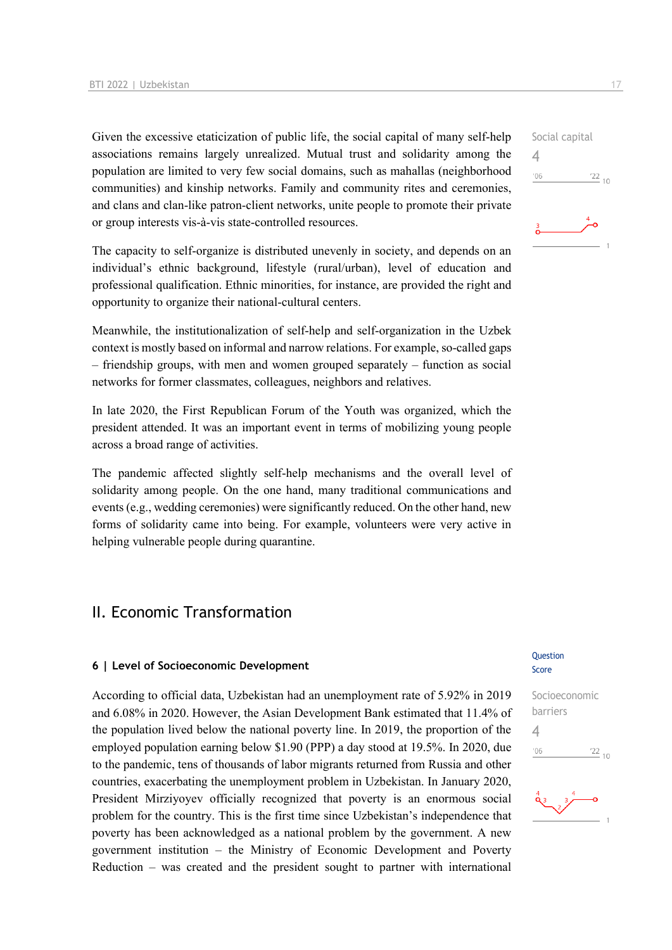Given the excessive etaticization of public life, the social capital of many self-help associations remains largely unrealized. Mutual trust and solidarity among the population are limited to very few social domains, such as mahallas (neighborhood communities) and kinship networks. Family and community rites and ceremonies, and clans and clan-like patron-client networks, unite people to promote their private or group interests vis-à-vis state-controlled resources.

The capacity to self-organize is distributed unevenly in society, and depends on an individual's ethnic background, lifestyle (rural/urban), level of education and professional qualification. Ethnic minorities, for instance, are provided the right and opportunity to organize their national-cultural centers.

Meanwhile, the institutionalization of self-help and self-organization in the Uzbek context is mostly based on informal and narrow relations. For example, so-called gaps – friendship groups, with men and women grouped separately – function as social networks for former classmates, colleagues, neighbors and relatives.

In late 2020, the First Republican Forum of the Youth was organized, which the president attended. It was an important event in terms of mobilizing young people across a broad range of activities.

The pandemic affected slightly self-help mechanisms and the overall level of solidarity among people. On the one hand, many traditional communications and events (e.g., wedding ceremonies) were significantly reduced. On the other hand, new forms of solidarity came into being. For example, volunteers were very active in helping vulnerable people during quarantine.

## II. Economic Transformation

#### **6 | Level of Socioeconomic Development**

According to official data, Uzbekistan had an unemployment rate of 5.92% in 2019 and 6.08% in 2020. However, the Asian Development Bank estimated that 11.4% of the population lived below the national poverty line. In 2019, the proportion of the employed population earning below \$1.90 (PPP) a day stood at 19.5%. In 2020, due to the pandemic, tens of thousands of labor migrants returned from Russia and other countries, exacerbating the unemployment problem in Uzbekistan. In January 2020, President Mirziyoyev officially recognized that poverty is an enormous social problem for the country. This is the first time since Uzbekistan's independence that poverty has been acknowledged as a national problem by the government. A new government institution – the Ministry of Economic Development and Poverty Reduction – was created and the president sought to partner with international



#### Question Score



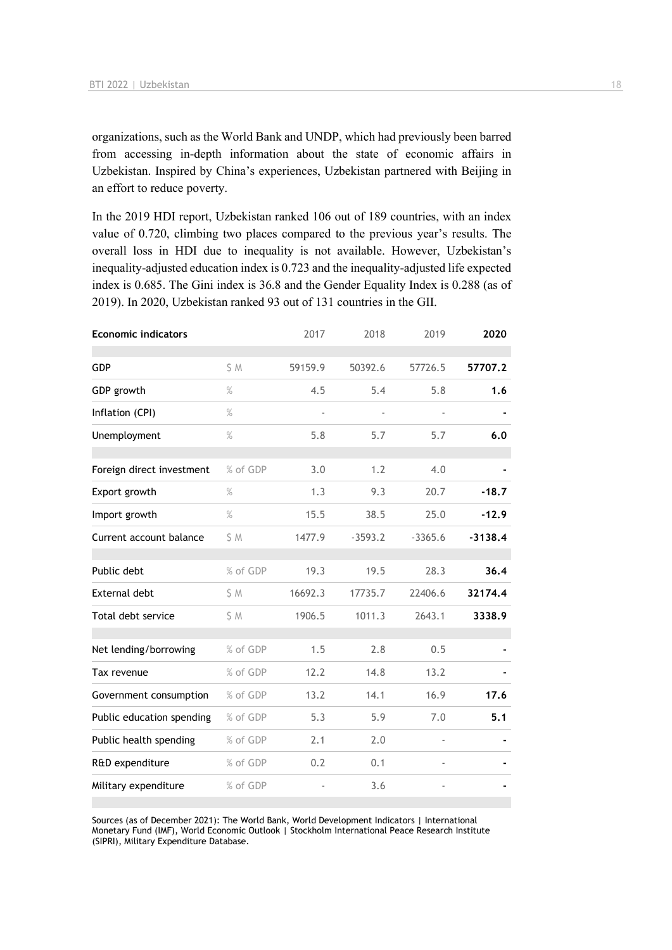organizations, such as the World Bank and UNDP, which had previously been barred from accessing in-depth information about the state of economic affairs in Uzbekistan. Inspired by China's experiences, Uzbekistan partnered with Beijing in an effort to reduce poverty.

In the 2019 HDI report, Uzbekistan ranked 106 out of 189 countries, with an index value of 0.720, climbing two places compared to the previous year's results. The overall loss in HDI due to inequality is not available. However, Uzbekistan's inequality-adjusted education index is 0.723 and the inequality-adjusted life expected index is 0.685. The Gini index is 36.8 and the Gender Equality Index is 0.288 (as of 2019). In 2020, Uzbekistan ranked 93 out of 131 countries in the GII.

| <b>Economic indicators</b> |          | 2017    | 2018      | 2019      | 2020      |
|----------------------------|----------|---------|-----------|-----------|-----------|
| <b>GDP</b>                 | S M      | 59159.9 | 50392.6   | 57726.5   | 57707.2   |
| GDP growth                 | $\%$     | 4.5     | 5.4       | 5.8       | 1.6       |
| Inflation (CPI)            | $\%$     |         |           |           |           |
| Unemployment               | $\%$     | 5.8     | 5.7       | 5.7       | 6.0       |
|                            |          |         |           |           |           |
| Foreign direct investment  | % of GDP | 3.0     | 1.2       | 4.0       |           |
| Export growth              | $\%$     | 1.3     | 9.3       | 20.7      | $-18.7$   |
| Import growth              | $\%$     | 15.5    | 38.5      | 25.0      | $-12.9$   |
| Current account balance    | S M      | 1477.9  | $-3593.2$ | $-3365.6$ | $-3138.4$ |
| Public debt                | % of GDP | 19.3    | 19.5      | 28.3      | 36.4      |
| External debt              | S M      | 16692.3 | 17735.7   | 22406.6   | 32174.4   |
| Total debt service         | \$ M     | 1906.5  | 1011.3    | 2643.1    | 3338.9    |
|                            |          |         |           |           |           |
| Net lending/borrowing      | % of GDP | 1.5     | 2.8       | 0.5       |           |
| Tax revenue                | % of GDP | 12.2    | 14.8      | 13.2      |           |
| Government consumption     | % of GDP | 13.2    | 14.1      | 16.9      | 17.6      |
| Public education spending  | % of GDP | 5.3     | 5.9       | 7.0       | 5.1       |
| Public health spending     | % of GDP | 2.1     | 2.0       |           |           |
| R&D expenditure            | % of GDP | 0.2     | 0.1       |           |           |
| Military expenditure       | % of GDP |         | 3.6       |           |           |

Sources (as of December 2021): The World Bank, World Development Indicators | International Monetary Fund (IMF), World Economic Outlook | Stockholm International Peace Research Institute (SIPRI), Military Expenditure Database.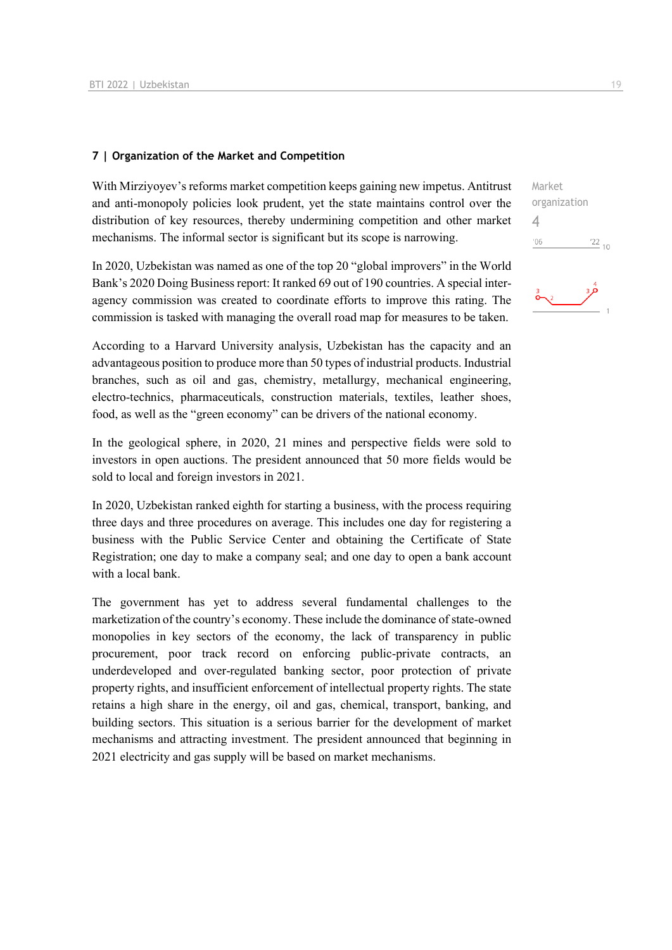#### **7 | Organization of the Market and Competition**

With Mirziyoyev's reforms market competition keeps gaining new impetus. Antitrust and anti-monopoly policies look prudent, yet the state maintains control over the distribution of key resources, thereby undermining competition and other market mechanisms. The informal sector is significant but its scope is narrowing.

In 2020, Uzbekistan was named as one of the top 20 "global improvers" in the World Bank's 2020 Doing Business report: It ranked 69 out of 190 countries. A special interagency commission was created to coordinate efforts to improve this rating. The commission is tasked with managing the overall road map for measures to be taken.

According to a Harvard University analysis, Uzbekistan has the capacity and an advantageous position to produce more than 50 types of industrial products. Industrial branches, such as oil and gas, chemistry, metallurgy, mechanical engineering, electro-technics, pharmaceuticals, construction materials, textiles, leather shoes, food, as well as the "green economy" can be drivers of the national economy.

In the geological sphere, in 2020, 21 mines and perspective fields were sold to investors in open auctions. The president announced that 50 more fields would be sold to local and foreign investors in 2021.

In 2020, Uzbekistan ranked eighth for starting a business, with the process requiring three days and three procedures on average. This includes one day for registering a business with the Public Service Center and obtaining the Certificate of State Registration; one day to make a company seal; and one day to open a bank account with a local bank.

The government has yet to address several fundamental challenges to the marketization of the country's economy. These include the dominance of state-owned monopolies in key sectors of the economy, the lack of transparency in public procurement, poor track record on enforcing public-private contracts, an underdeveloped and over-regulated banking sector, poor protection of private property rights, and insufficient enforcement of intellectual property rights. The state retains a high share in the energy, oil and gas, chemical, transport, banking, and building sectors. This situation is a serious barrier for the development of market mechanisms and attracting investment. The president announced that beginning in 2021 electricity and gas supply will be based on market mechanisms.

Market organization 4 $\frac{22}{10}$  $-06$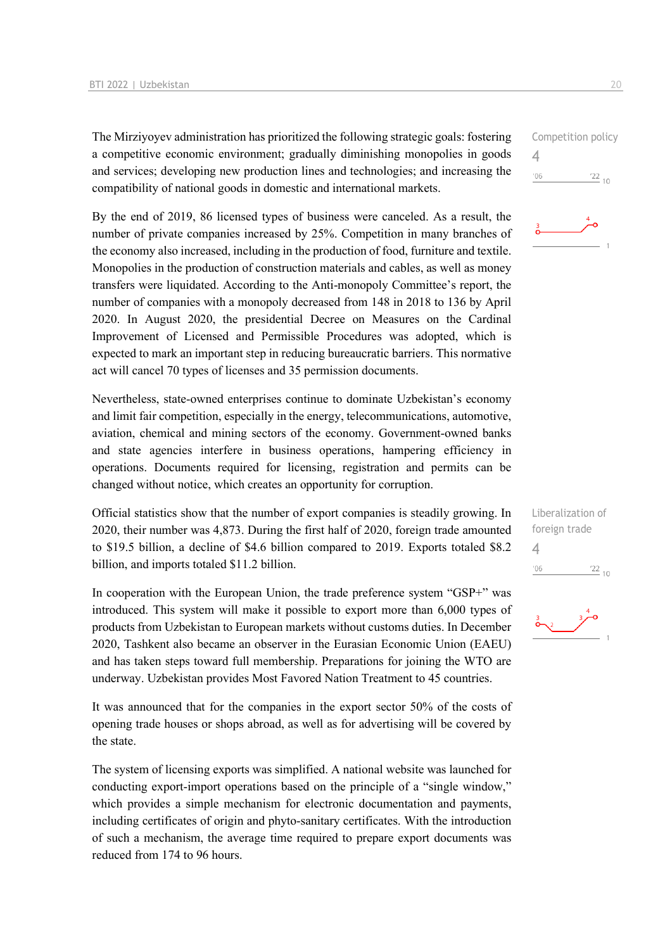The Mirziyoyev administration has prioritized the following strategic goals: fostering a competitive economic environment; gradually diminishing monopolies in goods and services; developing new production lines and technologies; and increasing the compatibility of national goods in domestic and international markets.

By the end of 2019, 86 licensed types of business were canceled. As a result, the number of private companies increased by 25%. Competition in many branches of the economy also increased, including in the production of food, furniture and textile. Monopolies in the production of construction materials and cables, as well as money transfers were liquidated. According to the Anti-monopoly Committee's report, the number of companies with a monopoly decreased from 148 in 2018 to 136 by April 2020. In August 2020, the presidential Decree on Measures on the Cardinal Improvement of Licensed and Permissible Procedures was adopted, which is expected to mark an important step in reducing bureaucratic barriers. This normative act will cancel 70 types of licenses and 35 permission documents.

Nevertheless, state-owned enterprises continue to dominate Uzbekistan's economy and limit fair competition, especially in the energy, telecommunications, automotive, aviation, chemical and mining sectors of the economy. Government-owned banks and state agencies interfere in business operations, hampering efficiency in operations. Documents required for licensing, registration and permits can be changed without notice, which creates an opportunity for corruption.

Official statistics show that the number of export companies is steadily growing. In 2020, their number was 4,873. During the first half of 2020, foreign trade amounted to \$19.5 billion, a decline of \$4.6 billion compared to 2019. Exports totaled \$8.2 billion, and imports totaled \$11.2 billion.

In cooperation with the European Union, the trade preference system "GSP+" was introduced. This system will make it possible to export more than 6,000 types of products from Uzbekistan to European markets without customs duties. In December 2020, Tashkent also became an observer in the Eurasian Economic Union (EAEU) and has taken steps toward full membership. Preparations for joining the WTO are underway. Uzbekistan provides Most Favored Nation Treatment to 45 countries.

It was announced that for the companies in the export sector 50% of the costs of opening trade houses or shops abroad, as well as for advertising will be covered by the state.

The system of licensing exports was simplified. A national website was launched for conducting export-import operations based on the principle of a "single window," which provides a simple mechanism for electronic documentation and payments, including certificates of origin and phyto-sanitary certificates. With the introduction of such a mechanism, the average time required to prepare export documents was reduced from 174 to 96 hours.

Competition policy 4  $\frac{22}{10}$  $106$ 



Liberalization of foreign trade 4 $-06$  $\frac{22}{10}$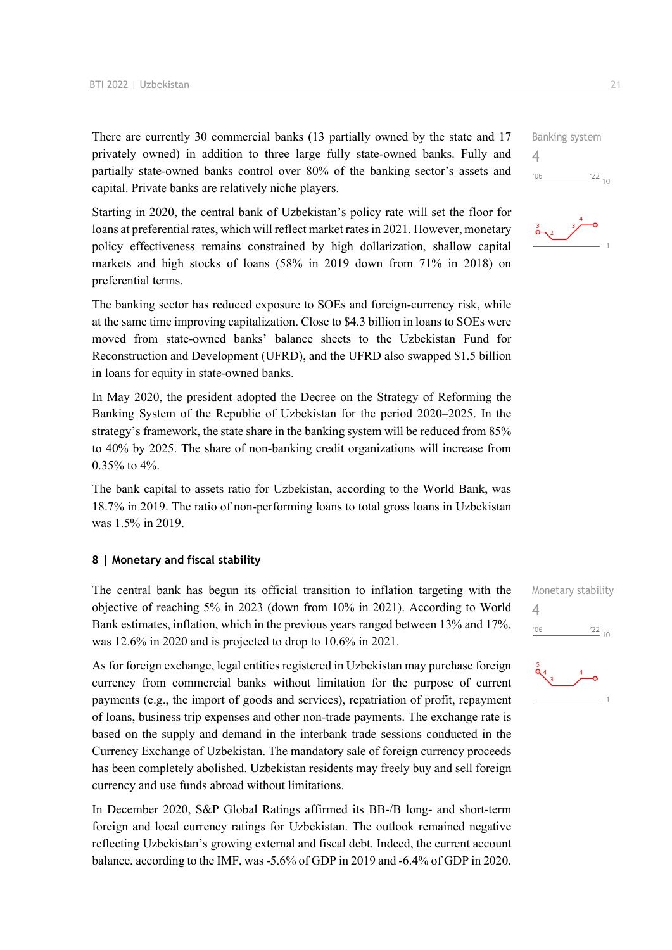There are currently 30 commercial banks (13 partially owned by the state and 17 privately owned) in addition to three large fully state-owned banks. Fully and partially state-owned banks control over 80% of the banking sector's assets and capital. Private banks are relatively niche players.

Starting in 2020, the central bank of Uzbekistan's policy rate will set the floor for loans at preferential rates, which will reflect market rates in 2021. However, monetary policy effectiveness remains constrained by high dollarization, shallow capital markets and high stocks of loans (58% in 2019 down from 71% in 2018) on preferential terms.

The banking sector has reduced exposure to SOEs and foreign-currency risk, while at the same time improving capitalization. Close to \$4.3 billion in loans to SOEs were moved from state-owned banks' balance sheets to the Uzbekistan Fund for Reconstruction and Development (UFRD), and the UFRD also swapped \$1.5 billion in loans for equity in state-owned banks.

In May 2020, the president adopted the Decree on the Strategy of Reforming the Banking System of the Republic of Uzbekistan for the period 2020–2025. In the strategy's framework, the state share in the banking system will be reduced from 85% to 40% by 2025. The share of non-banking credit organizations will increase from 0.35% to 4%.

The bank capital to assets ratio for Uzbekistan, according to the World Bank, was 18.7% in 2019. The ratio of non-performing loans to total gross loans in Uzbekistan was 1.5% in 2019.

#### **8 | Monetary and fiscal stability**

The central bank has begun its official transition to inflation targeting with the objective of reaching 5% in 2023 (down from 10% in 2021). According to World Bank estimates, inflation, which in the previous years ranged between 13% and 17%, was 12.6% in 2020 and is projected to drop to 10.6% in 2021.

As for foreign exchange, legal entities registered in Uzbekistan may purchase foreign currency from commercial banks without limitation for the purpose of current payments (e.g., the import of goods and services), repatriation of profit, repayment of loans, business trip expenses and other non-trade payments. The exchange rate is based on the supply and demand in the interbank trade sessions conducted in the Currency Exchange of Uzbekistan. The mandatory sale of foreign currency proceeds has been completely abolished. Uzbekistan residents may freely buy and sell foreign currency and use funds abroad without limitations.

In December 2020, S&P Global Ratings affirmed its BB-/B long- and short-term foreign and local currency ratings for Uzbekistan. The outlook remained negative reflecting Uzbekistan's growing external and fiscal debt. Indeed, the current account balance, according to the IMF, was -5.6% of GDP in 2019 and -6.4% of GDP in 2020. Monetary stability 4 $\frac{22}{10}$  $06'$ 



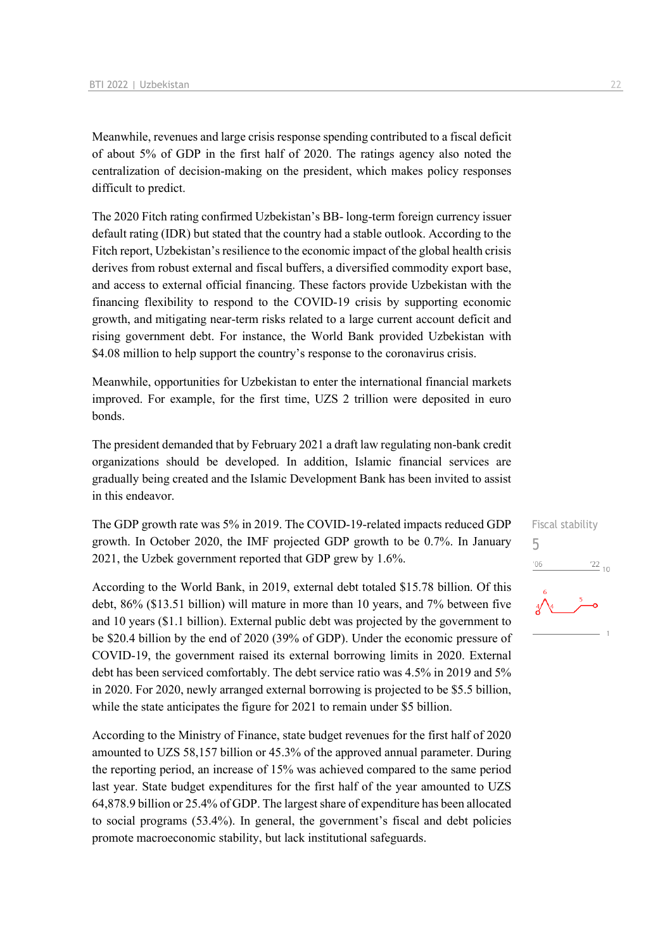Meanwhile, revenues and large crisis response spending contributed to a fiscal deficit of about 5% of GDP in the first half of 2020. The ratings agency also noted the centralization of decision-making on the president, which makes policy responses difficult to predict.

The 2020 Fitch rating confirmed Uzbekistan's BB- long-term foreign currency issuer default rating (IDR) but stated that the country had a stable outlook. According to the Fitch report, Uzbekistan's resilience to the economic impact of the global health crisis derives from robust external and fiscal buffers, a diversified commodity export base, and access to external official financing. These factors provide Uzbekistan with the financing flexibility to respond to the COVID-19 crisis by supporting economic growth, and mitigating near-term risks related to a large current account deficit and rising government debt. For instance, the World Bank provided Uzbekistan with \$4.08 million to help support the country's response to the coronavirus crisis.

Meanwhile, opportunities for Uzbekistan to enter the international financial markets improved. For example, for the first time, UZS 2 trillion were deposited in euro bonds.

The president demanded that by February 2021 a draft law regulating non-bank credit organizations should be developed. In addition, Islamic financial services are gradually being created and the Islamic Development Bank has been invited to assist in this endeavor.

The GDP growth rate was 5% in 2019. The COVID-19-related impacts reduced GDP growth. In October 2020, the IMF projected GDP growth to be 0.7%. In January 2021, the Uzbek government reported that GDP grew by 1.6%.

According to the World Bank, in 2019, external debt totaled \$15.78 billion. Of this debt, 86% (\$13.51 billion) will mature in more than 10 years, and 7% between five and 10 years (\$1.1 billion). External public debt was projected by the government to be \$20.4 billion by the end of 2020 (39% of GDP). Under the economic pressure of COVID-19, the government raised its external borrowing limits in 2020. External debt has been serviced comfortably. The debt service ratio was 4.5% in 2019 and 5% in 2020. For 2020, newly arranged external borrowing is projected to be \$5.5 billion, while the state anticipates the figure for 2021 to remain under \$5 billion.

According to the Ministry of Finance, state budget revenues for the first half of 2020 amounted to UZS 58,157 billion or 45.3% of the approved annual parameter. During the reporting period, an increase of 15% was achieved compared to the same period last year. State budget expenditures for the first half of the year amounted to UZS 64,878.9 billion or 25.4% of GDP. The largest share of expenditure has been allocated to social programs (53.4%). In general, the government's fiscal and debt policies promote macroeconomic stability, but lack institutional safeguards.



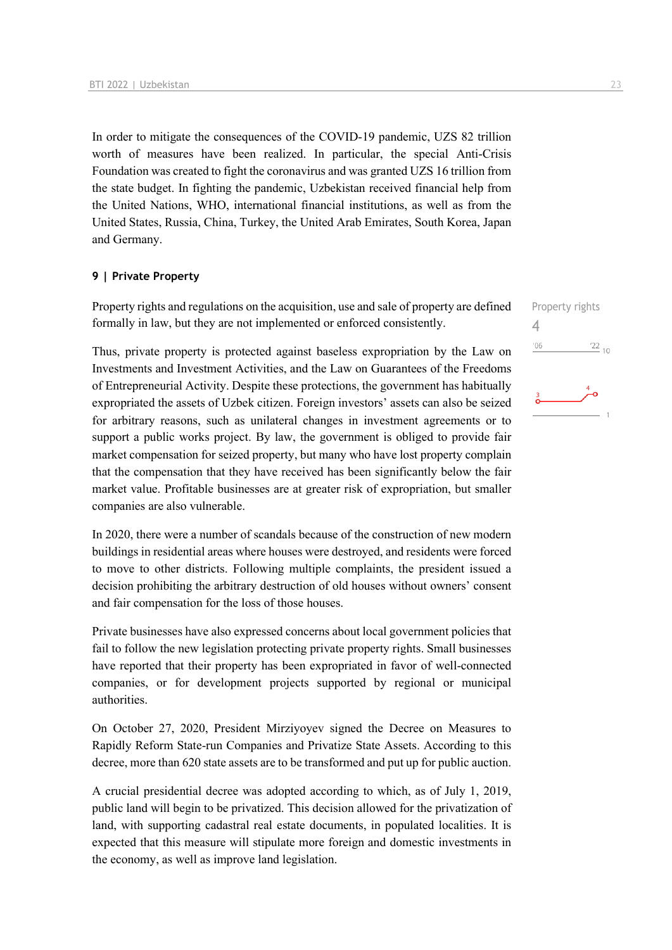In order to mitigate the consequences of the COVID-19 pandemic, UZS 82 trillion worth of measures have been realized. In particular, the special Anti-Crisis Foundation was created to fight the coronavirus and was granted UZS 16 trillion from the state budget. In fighting the pandemic, Uzbekistan received financial help from the United Nations, WHO, international financial institutions, as well as from the United States, Russia, China, Turkey, the United Arab Emirates, South Korea, Japan and Germany.

#### **9 | Private Property**

Property rights and regulations on the acquisition, use and sale of property are defined formally in law, but they are not implemented or enforced consistently.

Thus, private property is protected against baseless expropriation by the Law on Investments and Investment Activities, and the Law on Guarantees of the Freedoms of Entrepreneurial Activity. Despite these protections, the government has habitually expropriated the assets of Uzbek citizen. Foreign investors' assets can also be seized for arbitrary reasons, such as unilateral changes in investment agreements or to support a public works project. By law, the government is obliged to provide fair market compensation for seized property, but many who have lost property complain that the compensation that they have received has been significantly below the fair market value. Profitable businesses are at greater risk of expropriation, but smaller companies are also vulnerable.

In 2020, there were a number of scandals because of the construction of new modern buildings in residential areas where houses were destroyed, and residents were forced to move to other districts. Following multiple complaints, the president issued a decision prohibiting the arbitrary destruction of old houses without owners' consent and fair compensation for the loss of those houses.

Private businesses have also expressed concerns about local government policies that fail to follow the new legislation protecting private property rights. Small businesses have reported that their property has been expropriated in favor of well-connected companies, or for development projects supported by regional or municipal authorities.

On October 27, 2020, President Mirziyoyev signed the Decree on Measures to Rapidly Reform State-run Companies and Privatize State Assets. According to this decree, more than 620 state assets are to be transformed and put up for public auction.

A crucial presidential decree was adopted according to which, as of July 1, 2019, public land will begin to be privatized. This decision allowed for the privatization of land, with supporting cadastral real estate documents, in populated localities. It is expected that this measure will stipulate more foreign and domestic investments in the economy, as well as improve land legislation.

4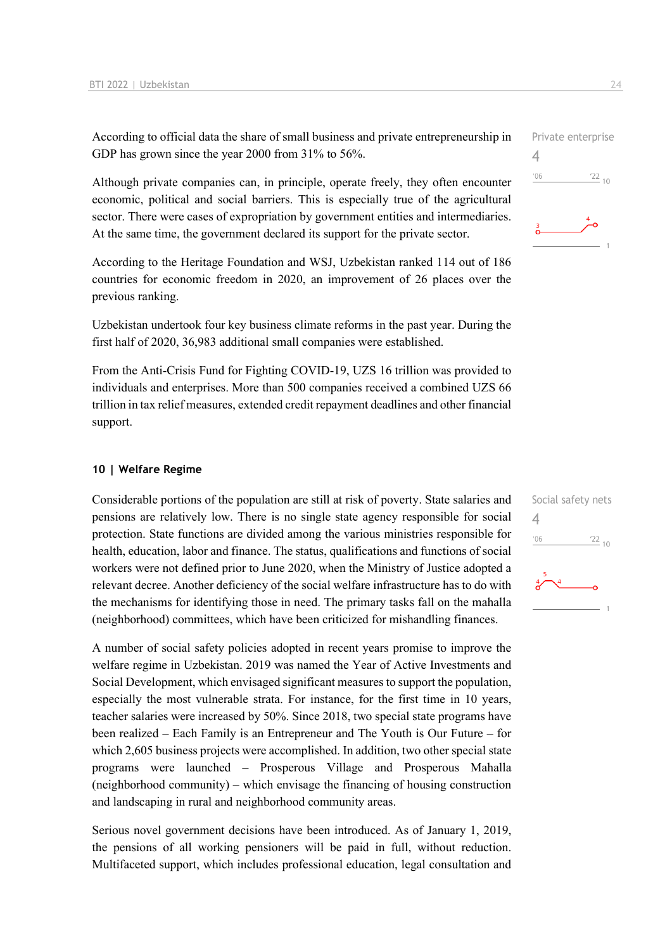According to official data the share of small business and private entrepreneurship in GDP has grown since the year 2000 from 31% to 56%.

Although private companies can, in principle, operate freely, they often encounter economic, political and social barriers. This is especially true of the agricultural sector. There were cases of expropriation by government entities and intermediaries. At the same time, the government declared its support for the private sector.

According to the Heritage Foundation and WSJ, Uzbekistan ranked 114 out of 186 countries for economic freedom in 2020, an improvement of 26 places over the previous ranking.

Uzbekistan undertook four key business climate reforms in the past year. During the first half of 2020, 36,983 additional small companies were established.

From the Anti-Crisis Fund for Fighting COVID-19, UZS 16 trillion was provided to individuals and enterprises. More than 500 companies received a combined UZS 66 trillion in tax relief measures, extended credit repayment deadlines and other financial support.

#### **10 | Welfare Regime**

Considerable portions of the population are still at risk of poverty. State salaries and pensions are relatively low. There is no single state agency responsible for social protection. State functions are divided among the various ministries responsible for health, education, labor and finance. The status, qualifications and functions of social workers were not defined prior to June 2020, when the Ministry of Justice adopted a relevant decree. Another deficiency of the social welfare infrastructure has to do with the mechanisms for identifying those in need. The primary tasks fall on the mahalla (neighborhood) committees, which have been criticized for mishandling finances.

A number of social safety policies adopted in recent years promise to improve the welfare regime in Uzbekistan. 2019 was named the Year of Active Investments and Social Development, which envisaged significant measures to support the population, especially the most vulnerable strata. For instance, for the first time in 10 years, teacher salaries were increased by 50%. Since 2018, two special state programs have been realized – Each Family is an Entrepreneur and The Youth is Our Future – for which 2,605 business projects were accomplished. In addition, two other special state programs were launched – Prosperous Village and Prosperous Mahalla (neighborhood community) – which envisage the financing of housing construction and landscaping in rural and neighborhood community areas.

Serious novel government decisions have been introduced. As of January 1, 2019, the pensions of all working pensioners will be paid in full, without reduction. Multifaceted support, which includes professional education, legal consultation and



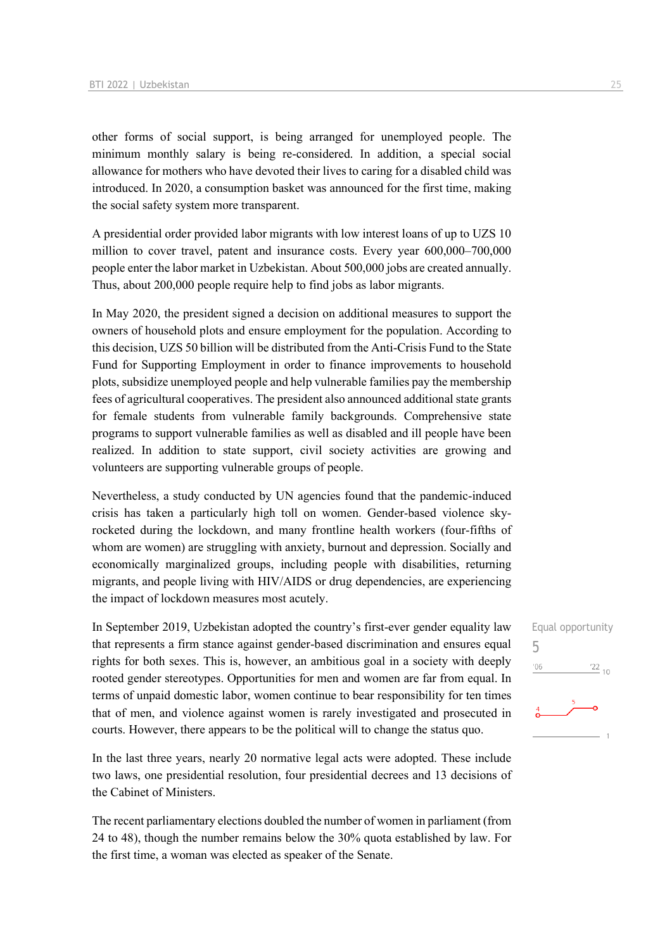other forms of social support, is being arranged for unemployed people. The minimum monthly salary is being re-considered. In addition, a special social allowance for mothers who have devoted their lives to caring for a disabled child was introduced. In 2020, a consumption basket was announced for the first time, making the social safety system more transparent.

A presidential order provided labor migrants with low interest loans of up to UZS 10 million to cover travel, patent and insurance costs. Every year 600,000–700,000 people enter the labor market in Uzbekistan. About 500,000 jobs are created annually. Thus, about 200,000 people require help to find jobs as labor migrants.

In May 2020, the president signed a decision on additional measures to support the owners of household plots and ensure employment for the population. According to this decision, UZS 50 billion will be distributed from the Anti-Crisis Fund to the State Fund for Supporting Employment in order to finance improvements to household plots, subsidize unemployed people and help vulnerable families pay the membership fees of agricultural cooperatives. The president also announced additional state grants for female students from vulnerable family backgrounds. Comprehensive state programs to support vulnerable families as well as disabled and ill people have been realized. In addition to state support, civil society activities are growing and volunteers are supporting vulnerable groups of people.

Nevertheless, a study conducted by UN agencies found that the pandemic-induced crisis has taken a particularly high toll on women. Gender-based violence skyrocketed during the lockdown, and many frontline health workers (four-fifths of whom are women) are struggling with anxiety, burnout and depression. Socially and economically marginalized groups, including people with disabilities, returning migrants, and people living with HIV/AIDS or drug dependencies, are experiencing the impact of lockdown measures most acutely.

In September 2019, Uzbekistan adopted the country's first-ever gender equality law that represents a firm stance against gender-based discrimination and ensures equal rights for both sexes. This is, however, an ambitious goal in a society with deeply rooted gender stereotypes. Opportunities for men and women are far from equal. In terms of unpaid domestic labor, women continue to bear responsibility for ten times that of men, and violence against women is rarely investigated and prosecuted in courts. However, there appears to be the political will to change the status quo.

In the last three years, nearly 20 normative legal acts were adopted. These include two laws, one presidential resolution, four presidential decrees and 13 decisions of the Cabinet of Ministers.

The recent parliamentary elections doubled the number of women in parliament (from 24 to 48), though the number remains below the 30% quota established by law. For the first time, a woman was elected as speaker of the Senate.

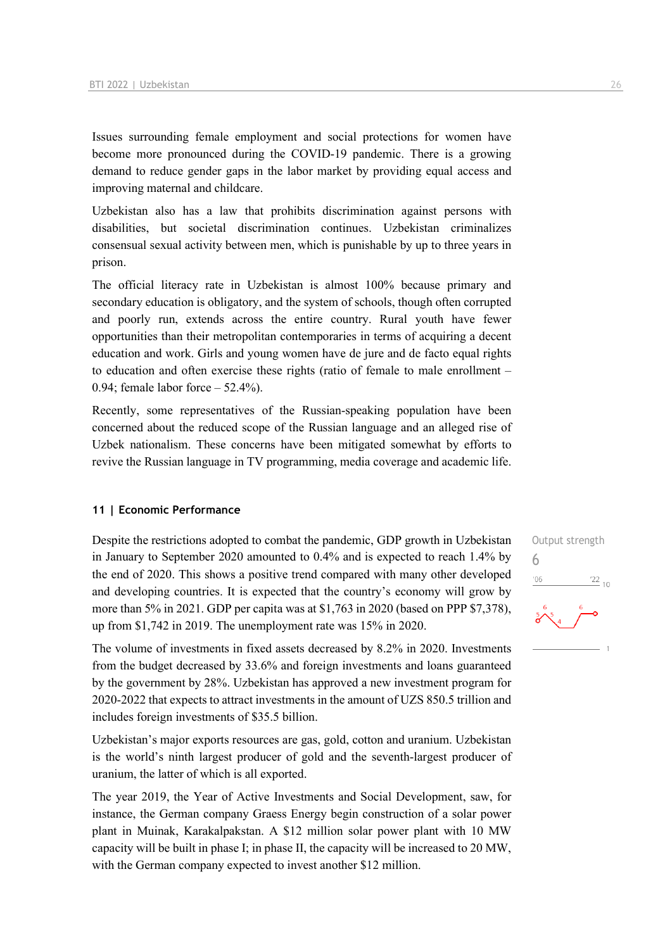Issues surrounding female employment and social protections for women have become more pronounced during the COVID-19 pandemic. There is a growing demand to reduce gender gaps in the labor market by providing equal access and improving maternal and childcare.

Uzbekistan also has a law that prohibits discrimination against persons with disabilities, but societal discrimination continues. Uzbekistan criminalizes consensual sexual activity between men, which is punishable by up to three years in prison.

The official literacy rate in Uzbekistan is almost 100% because primary and secondary education is obligatory, and the system of schools, though often corrupted and poorly run, extends across the entire country. Rural youth have fewer opportunities than their metropolitan contemporaries in terms of acquiring a decent education and work. Girls and young women have de jure and de facto equal rights to education and often exercise these rights (ratio of female to male enrollment – 0.94; female labor force – 52.4%).

Recently, some representatives of the Russian-speaking population have been concerned about the reduced scope of the Russian language and an alleged rise of Uzbek nationalism. These concerns have been mitigated somewhat by efforts to revive the Russian language in TV programming, media coverage and academic life.

#### **11 | Economic Performance**

Despite the restrictions adopted to combat the pandemic, GDP growth in Uzbekistan in January to September 2020 amounted to 0.4% and is expected to reach 1.4% by the end of 2020. This shows a positive trend compared with many other developed and developing countries. It is expected that the country's economy will grow by more than 5% in 2021. GDP per capita was at \$1,763 in 2020 (based on PPP \$7,378), up from \$1,742 in 2019. The unemployment rate was 15% in 2020.

The volume of investments in fixed assets decreased by 8.2% in 2020. Investments from the budget decreased by 33.6% and foreign investments and loans guaranteed by the government by 28%. Uzbekistan has approved a new investment program for 2020-2022 that expects to attract investments in the amount of UZS 850.5 trillion and includes foreign investments of \$35.5 billion.

Uzbekistan's major exports resources are gas, gold, cotton and uranium. Uzbekistan is the world's ninth largest producer of gold and the seventh-largest producer of uranium, the latter of which is all exported.

The year 2019, the Year of Active Investments and Social Development, saw, for instance, the German company Graess Energy begin construction of a solar power plant in Muinak, Karakalpakstan. A \$12 million solar power plant with 10 MW capacity will be built in phase I; in phase II, the capacity will be increased to 20 MW, with the German company expected to invest another \$12 million.

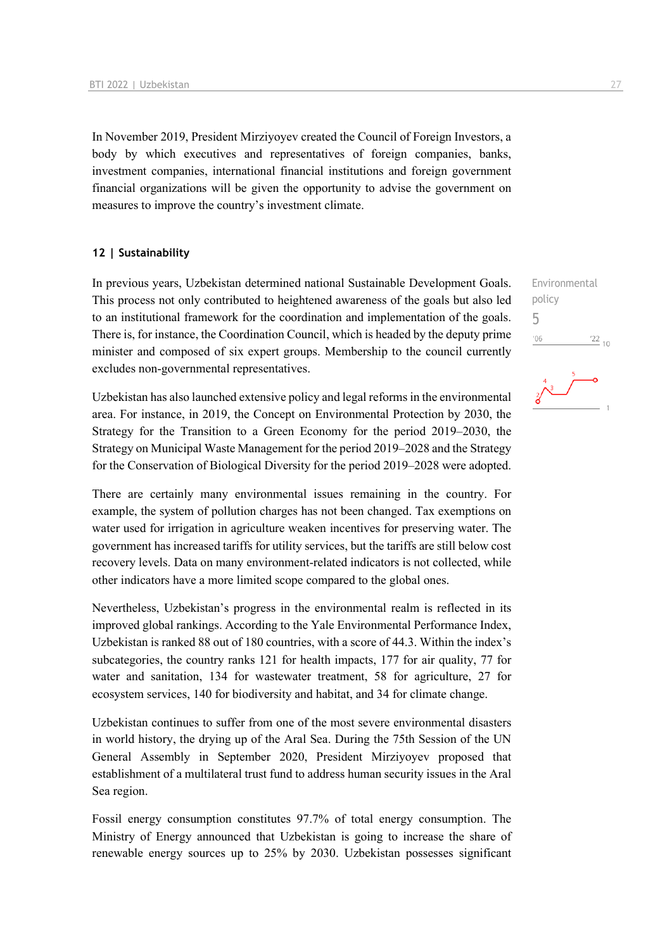In November 2019, President Mirziyoyev created the Council of Foreign Investors, a body by which executives and representatives of foreign companies, banks, investment companies, international financial institutions and foreign government financial organizations will be given the opportunity to advise the government on measures to improve the country's investment climate.

#### **12 | Sustainability**

In previous years, Uzbekistan determined national Sustainable Development Goals. This process not only contributed to heightened awareness of the goals but also led to an institutional framework for the coordination and implementation of the goals. There is, for instance, the Coordination Council, which is headed by the deputy prime minister and composed of six expert groups. Membership to the council currently excludes non-governmental representatives.

Uzbekistan has also launched extensive policy and legal reforms in the environmental area. For instance, in 2019, the Concept on Environmental Protection by 2030, the Strategy for the Transition to a Green Economy for the period 2019–2030, the Strategy on Municipal Waste Management for the period 2019–2028 and the Strategy for the Conservation of Biological Diversity for the period 2019–2028 were adopted.

There are certainly many environmental issues remaining in the country. For example, the system of pollution charges has not been changed. Tax exemptions on water used for irrigation in agriculture weaken incentives for preserving water. The government has increased tariffs for utility services, but the tariffs are still below cost recovery levels. Data on many environment-related indicators is not collected, while other indicators have a more limited scope compared to the global ones.

Nevertheless, Uzbekistan's progress in the environmental realm is reflected in its improved global rankings. According to the Yale Environmental Performance Index, Uzbekistan is ranked 88 out of 180 countries, with a score of 44.3. Within the index's subcategories, the country ranks 121 for health impacts, 177 for air quality, 77 for water and sanitation, 134 for wastewater treatment, 58 for agriculture, 27 for ecosystem services, 140 for biodiversity and habitat, and 34 for climate change.

Uzbekistan continues to suffer from one of the most severe environmental disasters in world history, the drying up of the Aral Sea. During the 75th Session of the UN General Assembly in September 2020, President Mirziyoyev proposed that establishment of a multilateral trust fund to address human security issues in the Aral Sea region.

Fossil energy consumption constitutes 97.7% of total energy consumption. The Ministry of Energy announced that Uzbekistan is going to increase the share of renewable energy sources up to 25% by 2030. Uzbekistan possesses significant

Environmental policy 5'06  $^{22}$  10

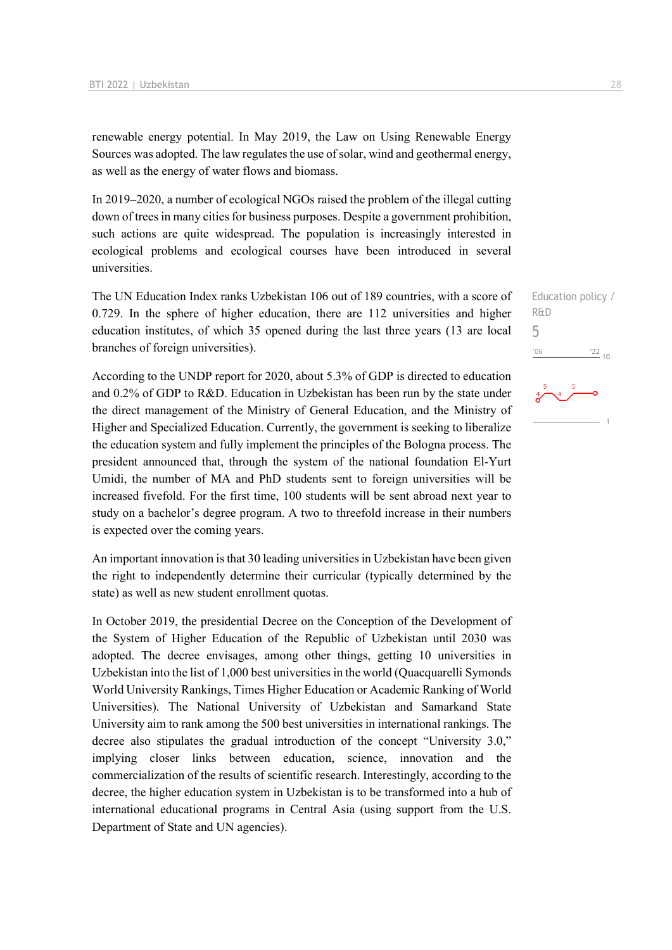renewable energy potential. In May 2019, the Law on Using Renewable Energy Sources was adopted. The law regulates the use of solar, wind and geothermal energy, as well as the energy of water flows and biomass.

In 2019–2020, a number of ecological NGOs raised the problem of the illegal cutting down of trees in many cities for business purposes. Despite a government prohibition, such actions are quite widespread. The population is increasingly interested in ecological problems and ecological courses have been introduced in several universities.

The UN Education Index ranks Uzbekistan 106 out of 189 countries, with a score of 0.729. In the sphere of higher education, there are 112 universities and higher education institutes, of which 35 opened during the last three years (13 are local branches of foreign universities).

According to the UNDP report for 2020, about 5.3% of GDP is directed to education and 0.2% of GDP to R&D. Education in Uzbekistan has been run by the state under the direct management of the Ministry of General Education, and the Ministry of Higher and Specialized Education. Currently, the government is seeking to liberalize the education system and fully implement the principles of the Bologna process. The president announced that, through the system of the national foundation El-Yurt Umidi, the number of MA and PhD students sent to foreign universities will be increased fivefold. For the first time, 100 students will be sent abroad next year to study on a bachelor's degree program. A two to threefold increase in their numbers is expected over the coming years.

An important innovation is that 30 leading universities in Uzbekistan have been given the right to independently determine their curricular (typically determined by the state) as well as new student enrollment quotas.

In October 2019, the presidential Decree on the Conception of the Development of the System of Higher Education of the Republic of Uzbekistan until 2030 was adopted. The decree envisages, among other things, getting 10 universities in Uzbekistan into the list of 1,000 best universities in the world (Quacquarelli Symonds World University Rankings, Times Нigher Education or Academic Ranking of World Universities). The National University of Uzbekistan and Samarkand State University aim to rank among the 500 best universities in international rankings. The decree also stipulates the gradual introduction of the concept "University 3.0," implying closer links between education, science, innovation and the commercialization of the results of scientific research. Interestingly, according to the decree, the higher education system in Uzbekistan is to be transformed into a hub of international educational programs in Central Asia (using support from the U.S. Department of State and UN agencies).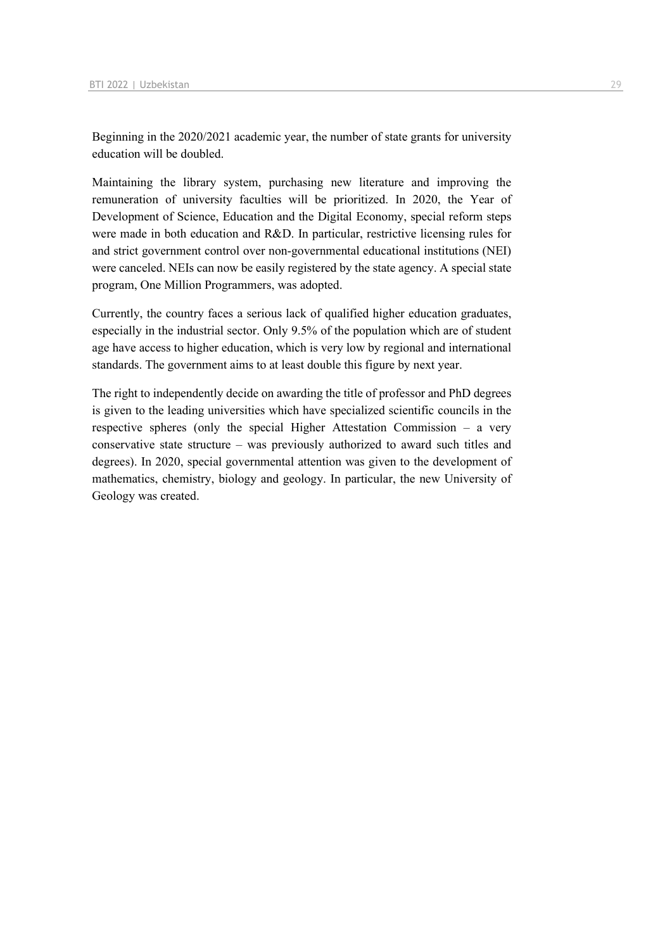Beginning in the 2020/2021 academic year, the number of state grants for university education will be doubled.

Maintaining the library system, purchasing new literature and improving the remuneration of university faculties will be prioritized. In 2020, the Year of Development of Science, Education and the Digital Economy, special reform steps were made in both education and R&D. In particular, restrictive licensing rules for and strict government control over non-governmental educational institutions (NEI) were canceled. NEIs can now be easily registered by the state agency. A special state program, One Million Programmers, was adopted.

Currently, the country faces a serious lack of qualified higher education graduates, especially in the industrial sector. Only 9.5% of the population which are of student age have access to higher education, which is very low by regional and international standards. The government aims to at least double this figure by next year.

The right to independently decide on awarding the title of professor and PhD degrees is given to the leading universities which have specialized scientific councils in the respective spheres (only the special Higher Attestation Commission – a very conservative state structure – was previously authorized to award such titles and degrees). In 2020, special governmental attention was given to the development of mathematics, chemistry, biology and geology. In particular, the new University of Geology was created.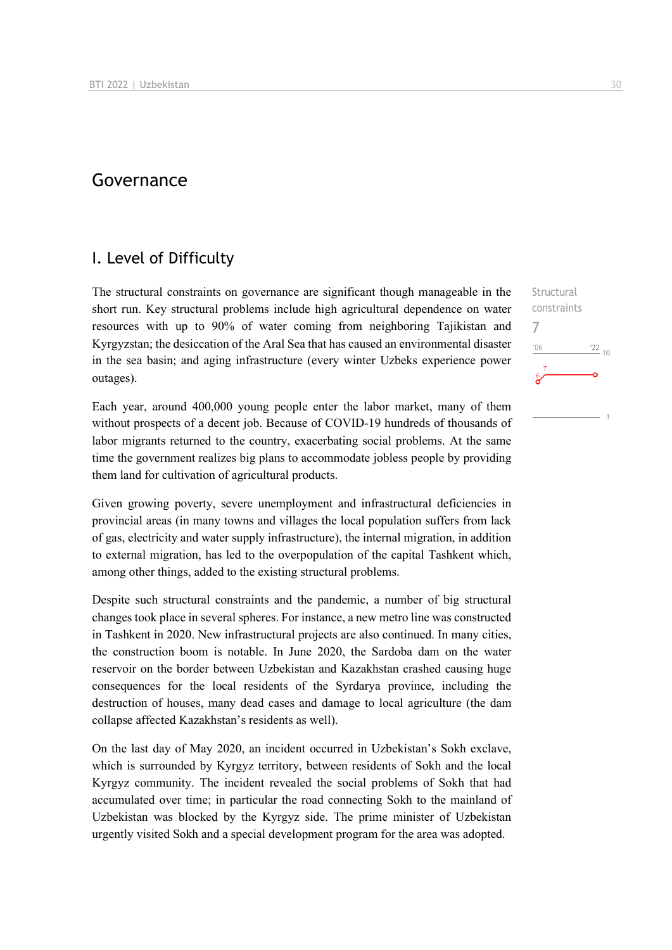## Governance

### I. Level of Difficulty

The structural constraints on governance are significant though manageable in the short run. Key structural problems include high agricultural dependence on water resources with up to 90% of water coming from neighboring Tajikistan and Kyrgyzstan; the desiccation of the Aral Sea that has caused an environmental disaster in the sea basin; and aging infrastructure (every winter Uzbeks experience power outages).

Each year, around 400,000 young people enter the labor market, many of them without prospects of a decent job. Because of COVID-19 hundreds of thousands of labor migrants returned to the country, exacerbating social problems. At the same time the government realizes big plans to accommodate jobless people by providing them land for cultivation of agricultural products.

Given growing poverty, severe unemployment and infrastructural deficiencies in provincial areas (in many towns and villages the local population suffers from lack of gas, electricity and water supply infrastructure), the internal migration, in addition to external migration, has led to the overpopulation of the capital Tashkent which, among other things, added to the existing structural problems.

Despite such structural constraints and the pandemic, a number of big structural changes took place in several spheres. For instance, a new metro line was constructed in Tashkent in 2020. New infrastructural projects are also continued. In many cities, the construction boom is notable. In June 2020, the Sardoba dam on the water reservoir on the border between Uzbekistan and Kazakhstan crashed causing huge consequences for the local residents of the Syrdarya province, including the destruction of houses, many dead cases and damage to local agriculture (the dam collapse affected Kazakhstan's residents as well).

On the last day of May 2020, an incident occurred in Uzbekistan's Sokh exclave, which is surrounded by Kyrgyz territory, between residents of Sokh and the local Kyrgyz community. The incident revealed the social problems of Sokh that had accumulated over time; in particular the road connecting Sokh to the mainland of Uzbekistan was blocked by the Kyrgyz side. The prime minister of Uzbekistan urgently visited Sokh and a special development program for the area was adopted.

**Structural** constraints 7 $n<sub>6</sub>$  $^{22}$  10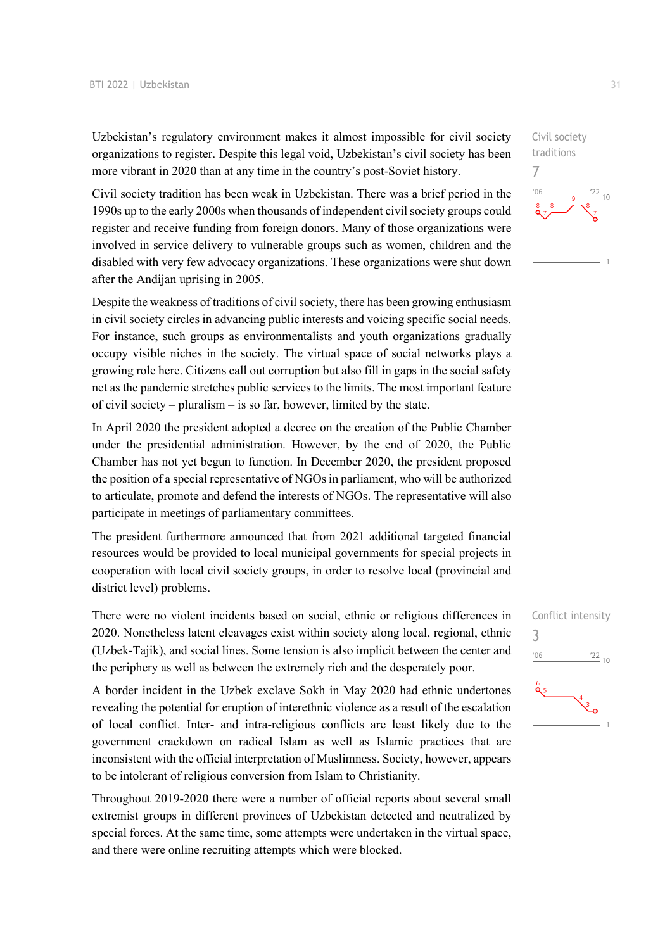Uzbekistan's regulatory environment makes it almost impossible for civil society organizations to register. Despite this legal void, Uzbekistan's civil society has been more vibrant in 2020 than at any time in the country's post-Soviet history.

Civil society tradition has been weak in Uzbekistan. There was a brief period in the 1990s up to the early 2000s when thousands of independent civil society groups could register and receive funding from foreign donors. Many of those organizations were involved in service delivery to vulnerable groups such as women, children and the disabled with very few advocacy organizations. These organizations were shut down after the Andijan uprising in 2005.

Despite the weakness of traditions of civil society, there has been growing enthusiasm in civil society circles in advancing public interests and voicing specific social needs. For instance, such groups as environmentalists and youth organizations gradually occupy visible niches in the society. The virtual space of social networks plays a growing role here. Citizens call out corruption but also fill in gaps in the social safety net as the pandemic stretches public services to the limits. The most important feature of civil society – pluralism – is so far, however, limited by the state.

In April 2020 the president adopted a decree on the creation of the Public Chamber under the presidential administration. However, by the end of 2020, the Public Chamber has not yet begun to function. In December 2020, the president proposed the position of a special representative of NGOs in parliament, who will be authorized to articulate, promote and defend the interests of NGOs. The representative will also participate in meetings of parliamentary committees.

The president furthermore announced that from 2021 additional targeted financial resources would be provided to local municipal governments for special projects in cooperation with local civil society groups, in order to resolve local (provincial and district level) problems.

There were no violent incidents based on social, ethnic or religious differences in 2020. Nonetheless latent cleavages exist within society along local, regional, ethnic (Uzbek-Tajik), and social lines. Some tension is also implicit between the center and the periphery as well as between the extremely rich and the desperately poor.

A border incident in the Uzbek exclave Sokh in May 2020 had ethnic undertones revealing the potential for eruption of interethnic violence as a result of the escalation of local conflict. Inter- and intra-religious conflicts are least likely due to the government crackdown on radical Islam as well as Islamic practices that are inconsistent with the official interpretation of Muslimness. Society, however, appears to be intolerant of religious conversion from Islam to Christianity.

Throughout 2019-2020 there were a number of official reports about several small extremist groups in different provinces of Uzbekistan detected and neutralized by special forces. At the same time, some attempts were undertaken in the virtual space, and there were online recruiting attempts which were blocked.

7  $\frac{22}{10}$ 

Civil society traditions

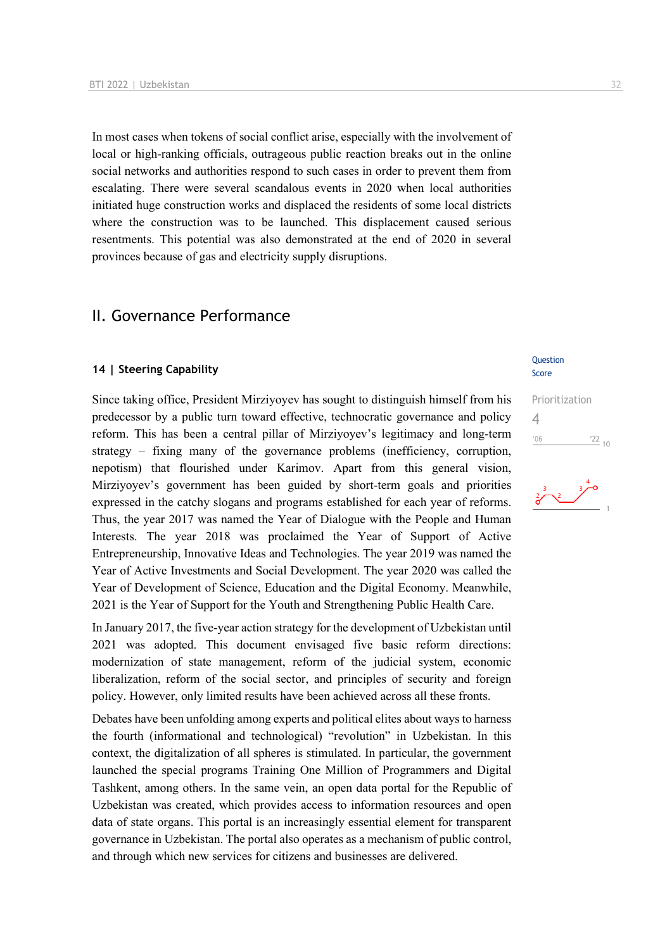In most cases when tokens of social conflict arise, especially with the involvement of local or high-ranking officials, outrageous public reaction breaks out in the online social networks and authorities respond to such cases in order to prevent them from escalating. There were several scandalous events in 2020 when local authorities initiated huge construction works and displaced the residents of some local districts where the construction was to be launched. This displacement caused serious resentments. This potential was also demonstrated at the end of 2020 in several provinces because of gas and electricity supply disruptions.

## II. Governance Performance

#### **14 | Steering Capability**

Since taking office, President Mirziyoyev has sought to distinguish himself from his predecessor by a public turn toward effective, technocratic governance and policy reform. This has been a central pillar of Mirziyoyev's legitimacy and long-term strategy – fixing many of the governance problems (inefficiency, corruption, nepotism) that flourished under Karimov. Apart from this general vision, Mirziyoyev's government has been guided by short-term goals and priorities expressed in the catchy slogans and programs established for each year of reforms. Thus, the year 2017 was named the Year of Dialogue with the People and Human Interests. The year 2018 was proclaimed the Year of Support of Active Entrepreneurship, Innovative Ideas and Technologies. The year 2019 was named the Year of Active Investments and Social Development. The year 2020 was called the Year of Development of Science, Education and the Digital Economy. Meanwhile, 2021 is the Year of Support for the Youth and Strengthening Public Health Care.

In January 2017, the five-year action strategy for the development of Uzbekistan until 2021 was adopted. This document envisaged five basic reform directions: modernization of state management, reform of the judicial system, economic liberalization, reform of the social sector, and principles of security and foreign policy. However, only limited results have been achieved across all these fronts.

Debates have been unfolding among experts and political elites about ways to harness the fourth (informational and technological) "revolution" in Uzbekistan. In this context, the digitalization of all spheres is stimulated. In particular, the government launched the special programs Training One Million of Programmers and Digital Tashkent, among others. In the same vein, an open data portal for the Republic of Uzbekistan was created, which provides access to information resources and open data of state organs. This portal is an increasingly essential element for transparent governance in Uzbekistan. The portal also operates as a mechanism of public control, and through which new services for citizens and businesses are delivered.

#### Question Score

Prioritization 4 $'06$  $\frac{22}{10}$ 

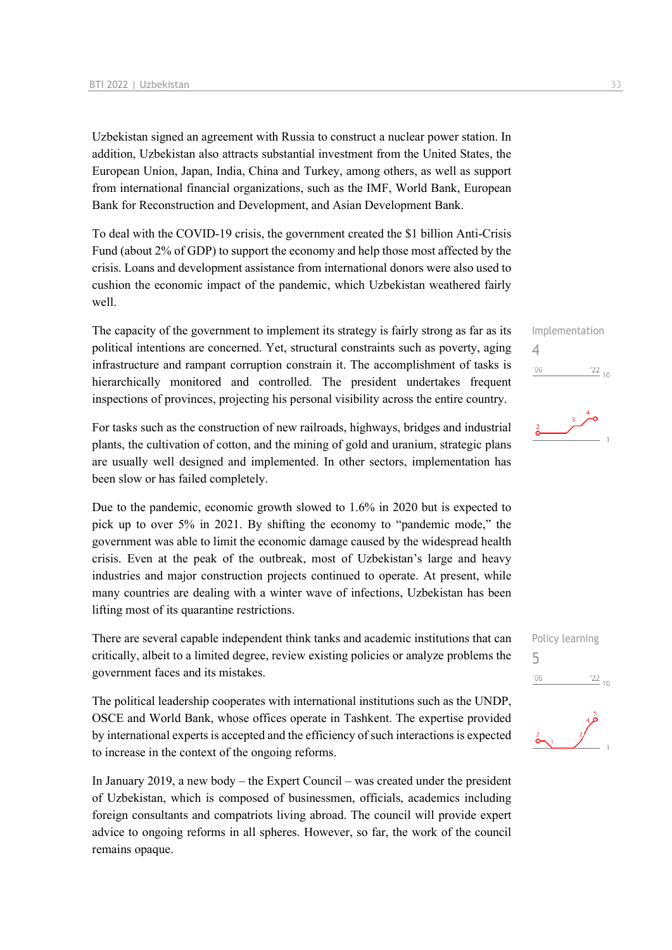Uzbekistan signed an agreement with Russia to construct a nuclear power station. In addition, Uzbekistan also attracts substantial investment from the United States, the European Union, Japan, India, China and Turkey, among others, as well as support from international financial organizations, such as the IMF, World Bank, European Bank for Reconstruction and Development, and Asian Development Bank.

To deal with the COVID-19 crisis, the government created the \$1 billion Anti-Crisis Fund (about 2% of GDP) to support the economy and help those most affected by the crisis. Loans and development assistance from international donors were also used to cushion the economic impact of the pandemic, which Uzbekistan weathered fairly well.

The capacity of the government to implement its strategy is fairly strong as far as its political intentions are concerned. Yet, structural constraints such as poverty, aging infrastructure and rampant corruption constrain it. The accomplishment of tasks is hierarchically monitored and controlled. The president undertakes frequent inspections of provinces, projecting his personal visibility across the entire country.

For tasks such as the construction of new railroads, highways, bridges and industrial plants, the cultivation of cotton, and the mining of gold and uranium, strategic plans are usually well designed and implemented. In other sectors, implementation has been slow or has failed completely.

Due to the pandemic, economic growth slowed to 1.6% in 2020 but is expected to pick up to over 5% in 2021. By shifting the economy to "pandemic mode," the government was able to limit the economic damage caused by the widespread health crisis. Even at the peak of the outbreak, most of Uzbekistan's large and heavy industries and major construction projects continued to operate. At present, while many countries are dealing with a winter wave of infections, Uzbekistan has been lifting most of its quarantine restrictions.

There are several capable independent think tanks and academic institutions that can critically, albeit to a limited degree, review existing policies or analyze problems the government faces and its mistakes.

The political leadership cooperates with international institutions such as the UNDP, OSCE and World Bank, whose offices operate in Tashkent. The expertise provided by international experts is accepted and the efficiency of such interactions is expected to increase in the context of the ongoing reforms.

In January 2019, a new body – the Expert Council – was created under the president of Uzbekistan, which is composed of businessmen, officials, academics including foreign consultants and compatriots living abroad. The council will provide expert advice to ongoing reforms in all spheres. However, so far, the work of the council remains opaque.

#### Implementation 4  $'06$  $\frac{22}{10}$



Policy learning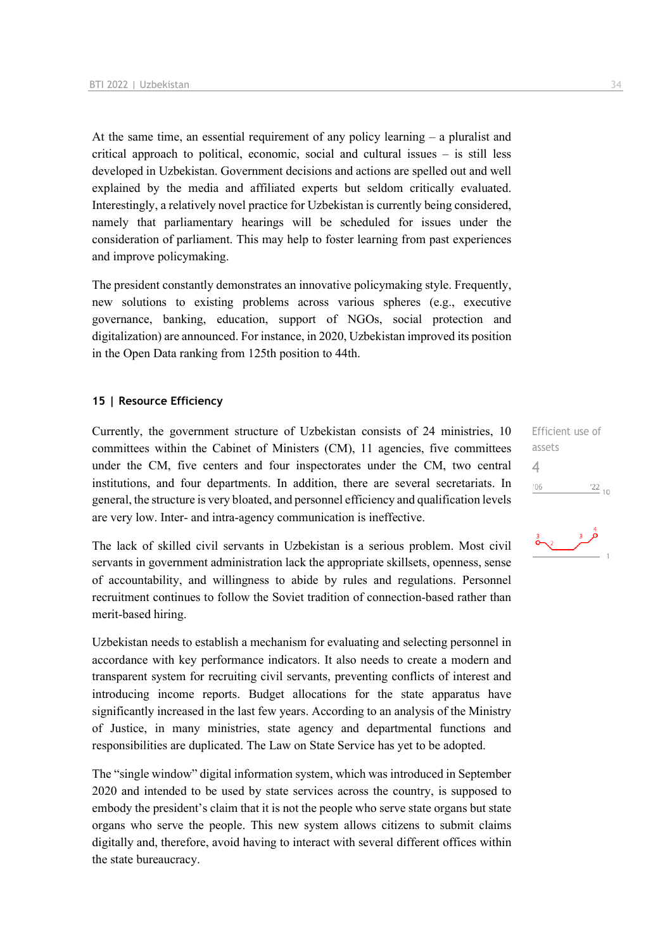At the same time, an essential requirement of any policy learning – a pluralist and critical approach to political, economic, social and cultural issues – is still less developed in Uzbekistan. Government decisions and actions are spelled out and well explained by the media and affiliated experts but seldom critically evaluated. Interestingly, a relatively novel practice for Uzbekistan is currently being considered, namely that parliamentary hearings will be scheduled for issues under the consideration of parliament. This may help to foster learning from past experiences and improve policymaking.

The president constantly demonstrates an innovative policymaking style. Frequently, new solutions to existing problems across various spheres (e.g., executive governance, banking, education, support of NGOs, social protection and digitalization) are announced. For instance, in 2020, Uzbekistan improved its position in the Open Data ranking from 125th position to 44th.

#### **15 | Resource Efficiency**

Currently, the government structure of Uzbekistan consists of 24 ministries, 10 committees within the Cabinet of Ministers (CM), 11 agencies, five committees under the CM, five centers and four inspectorates under the CM, two central institutions, and four departments. In addition, there are several secretariats. In general, the structure is very bloated, and personnel efficiency and qualification levels are very low. Inter- and intra-agency communication is ineffective.

The lack of skilled civil servants in Uzbekistan is a serious problem. Most civil servants in government administration lack the appropriate skillsets, openness, sense of accountability, and willingness to abide by rules and regulations. Personnel recruitment continues to follow the Soviet tradition of connection-based rather than merit-based hiring.

Uzbekistan needs to establish a mechanism for evaluating and selecting personnel in accordance with key performance indicators. It also needs to create a modern and transparent system for recruiting civil servants, preventing conflicts of interest and introducing income reports. Budget allocations for the state apparatus have significantly increased in the last few years. According to an analysis of the Ministry of Justice, in many ministries, state agency and departmental functions and responsibilities are duplicated. The Law on State Service has yet to be adopted.

The "single window" digital information system, which was introduced in September 2020 and intended to be used by state services across the country, is supposed to embody the president's claim that it is not the people who serve state organs but state organs who serve the people. This new system allows citizens to submit claims digitally and, therefore, avoid having to interact with several different offices within the state bureaucracy.

Efficient use of assets 4 $106$  $\frac{22}{10}$ 

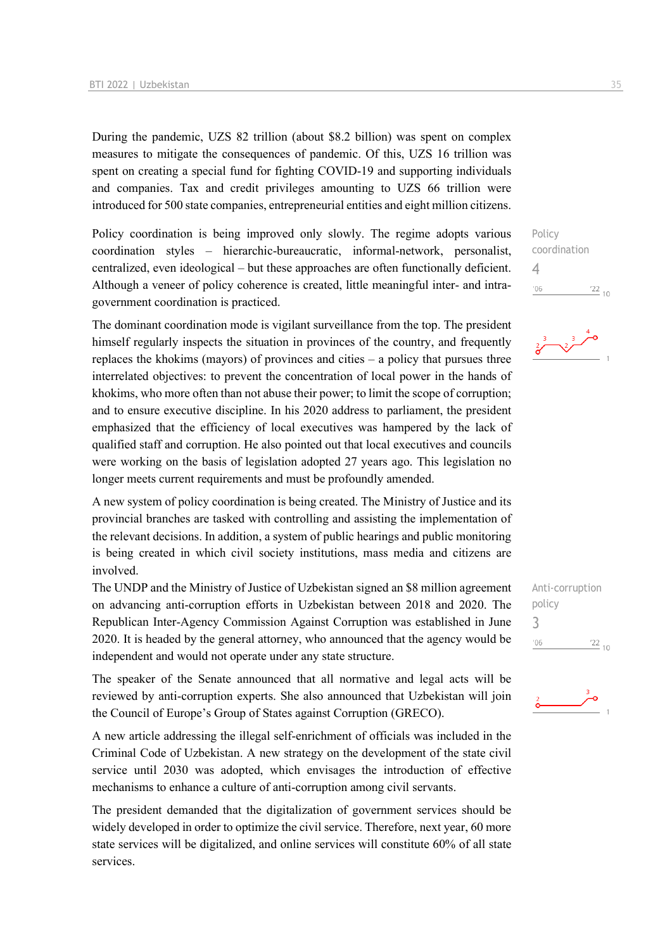During the pandemic, UZS 82 trillion (about \$8.2 billion) was spent on complex measures to mitigate the consequences of pandemic. Of this, UZS 16 trillion was spent on creating a special fund for fighting COVID-19 and supporting individuals and companies. Tax and credit privileges amounting to UZS 66 trillion were introduced for 500 state companies, entrepreneurial entities and eight million citizens.

Policy coordination is being improved only slowly. The regime adopts various coordination styles – hierarchic-bureaucratic, informal-network, personalist, centralized, even ideological – but these approaches are often functionally deficient. Although a veneer of policy coherence is created, little meaningful inter- and intragovernment coordination is practiced.

The dominant coordination mode is vigilant surveillance from the top. The president himself regularly inspects the situation in provinces of the country, and frequently replaces the khokims (mayors) of provinces and cities – a policy that pursues three interrelated objectives: to prevent the concentration of local power in the hands of khokims, who more often than not abuse their power; to limit the scope of corruption; and to ensure executive discipline. In his 2020 address to parliament, the president emphasized that the efficiency of local executives was hampered by the lack of qualified staff and corruption. He also pointed out that local executives and councils were working on the basis of legislation adopted 27 years ago. This legislation no longer meets current requirements and must be profoundly amended.

A new system of policy coordination is being created. The Ministry of Justice and its provincial branches are tasked with controlling and assisting the implementation of the relevant decisions. In addition, a system of public hearings and public monitoring is being created in which civil society institutions, mass media and citizens are involved.

The UNDP and the Ministry of Justice of Uzbekistan signed an \$8 million agreement on advancing anti-corruption efforts in Uzbekistan between 2018 and 2020. The Republican Inter-Agency Commission Against Corruption was established in June 2020. It is headed by the general attorney, who announced that the agency would be independent and would not operate under any state structure.

The speaker of the Senate announced that all normative and legal acts will be reviewed by anti-corruption experts. She also announced that Uzbekistan will join the Council of Europe's Group of States against Corruption (GRECO).

A new article addressing the illegal self-enrichment of officials was included in the Criminal Code of Uzbekistan. A new strategy on the development of the state civil service until 2030 was adopted, which envisages the introduction of effective mechanisms to enhance a culture of anti-corruption among civil servants.

The president demanded that the digitalization of government services should be widely developed in order to optimize the civil service. Therefore, next year, 60 more state services will be digitalized, and online services will constitute 60% of all state services.

Policy coordination 4  $\frac{22}{10}$  $'06$ 



Anti-corruption policy 3 $\frac{22}{10}$  $'06$ 

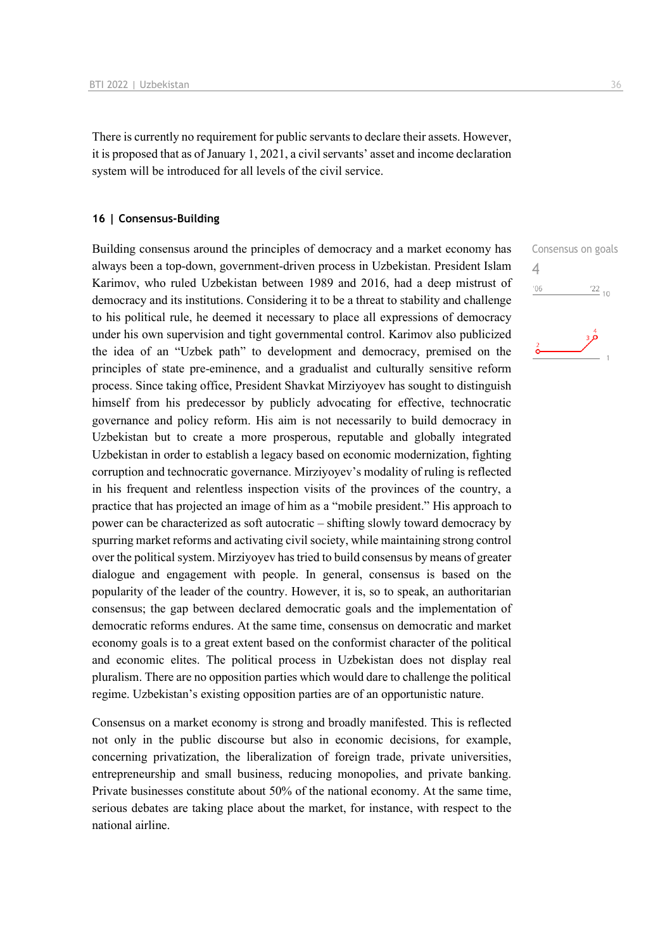There is currently no requirement for public servants to declare their assets. However, it is proposed that as of January 1, 2021, a civil servants' asset and income declaration system will be introduced for all levels of the civil service.

#### **16 | Consensus-Building**

Building consensus around the principles of democracy and a market economy has always been a top-down, government-driven process in Uzbekistan. President Islam Karimov, who ruled Uzbekistan between 1989 and 2016, had a deep mistrust of democracy and its institutions. Considering it to be a threat to stability and challenge to his political rule, he deemed it necessary to place all expressions of democracy under his own supervision and tight governmental control. Karimov also publicized the idea of an "Uzbek path" to development and democracy, premised on the principles of state pre-eminence, and a gradualist and culturally sensitive reform process. Since taking office, President Shavkat Mirziyoyev has sought to distinguish himself from his predecessor by publicly advocating for effective, technocratic governance and policy reform. His aim is not necessarily to build democracy in Uzbekistan but to create a more prosperous, reputable and globally integrated Uzbekistan in order to establish a legacy based on economic modernization, fighting corruption and technocratic governance. Mirziyoyev's modality of ruling is reflected in his frequent and relentless inspection visits of the provinces of the country, a practice that has projected an image of him as a "mobile president." His approach to power can be characterized as soft autocratic – shifting slowly toward democracy by spurring market reforms and activating civil society, while maintaining strong control over the political system. Mirziyoyev has tried to build consensus by means of greater dialogue and engagement with people. In general, consensus is based on the popularity of the leader of the country. However, it is, so to speak, an authoritarian consensus; the gap between declared democratic goals and the implementation of democratic reforms endures. At the same time, consensus on democratic and market economy goals is to a great extent based on the conformist character of the political and economic elites. The political process in Uzbekistan does not display real pluralism. There are no opposition parties which would dare to challenge the political regime. Uzbekistan's existing opposition parties are of an opportunistic nature.

Consensus on a market economy is strong and broadly manifested. This is reflected not only in the public discourse but also in economic decisions, for example, concerning privatization, the liberalization of foreign trade, private universities, entrepreneurship and small business, reducing monopolies, and private banking. Private businesses constitute about 50% of the national economy. At the same time, serious debates are taking place about the market, for instance, with respect to the national airline.

Consensus on goals 4 $\frac{22}{10}$  $'06$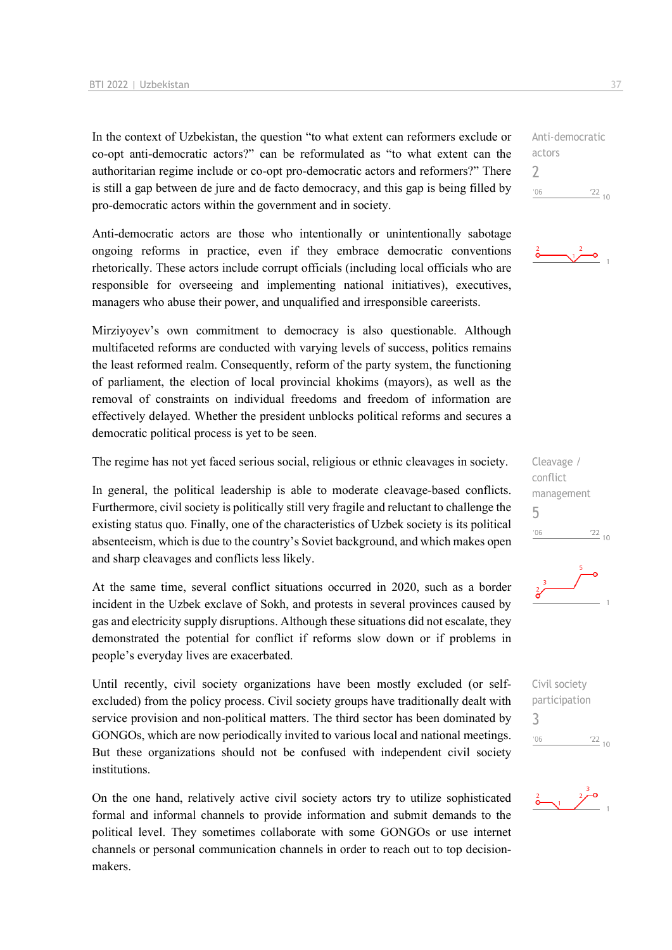In the context of Uzbekistan, the question "to what extent can reformers exclude or co-opt anti-democratic actors?" can be reformulated as "to what extent can the authoritarian regime include or co-opt pro-democratic actors and reformers?" There is still a gap between de jure and de facto democracy, and this gap is being filled by pro-democratic actors within the government and in society.

Anti-democratic actors are those who intentionally or unintentionally sabotage ongoing reforms in practice, even if they embrace democratic conventions rhetorically. These actors include corrupt officials (including local officials who are responsible for overseeing and implementing national initiatives), executives, managers who abuse their power, and unqualified and irresponsible careerists.

Mirziyoyev's own commitment to democracy is also questionable. Although multifaceted reforms are conducted with varying levels of success, politics remains the least reformed realm. Consequently, reform of the party system, the functioning of parliament, the election of local provincial khokims (mayors), as well as the removal of constraints on individual freedoms and freedom of information are effectively delayed. Whether the president unblocks political reforms and secures a democratic political process is yet to be seen.

The regime has not yet faced serious social, religious or ethnic cleavages in society.

In general, the political leadership is able to moderate cleavage-based conflicts. Furthermore, civil society is politically still very fragile and reluctant to challenge the existing status quo. Finally, one of the characteristics of Uzbek society is its political absenteeism, which is due to the country's Soviet background, and which makes open and sharp cleavages and conflicts less likely.

At the same time, several conflict situations occurred in 2020, such as a border incident in the Uzbek exclave of Sokh, and protests in several provinces caused by gas and electricity supply disruptions. Although these situations did not escalate, they demonstrated the potential for conflict if reforms slow down or if problems in people's everyday lives are exacerbated.

Until recently, civil society organizations have been mostly excluded (or selfexcluded) from the policy process. Civil society groups have traditionally dealt with service provision and non-political matters. The third sector has been dominated by GONGOs, which are now periodically invited to various local and national meetings. But these organizations should not be confused with independent civil society institutions.

On the one hand, relatively active civil society actors try to utilize sophisticated formal and informal channels to provide information and submit demands to the political level. They sometimes collaborate with some GONGOs or use internet channels or personal communication channels in order to reach out to top decisionmakers.

Anti-democratic actors 2  $^{\prime}06$  $\frac{22}{10}$ 







Civil society participation 3 $\frac{22}{10}$  $-06$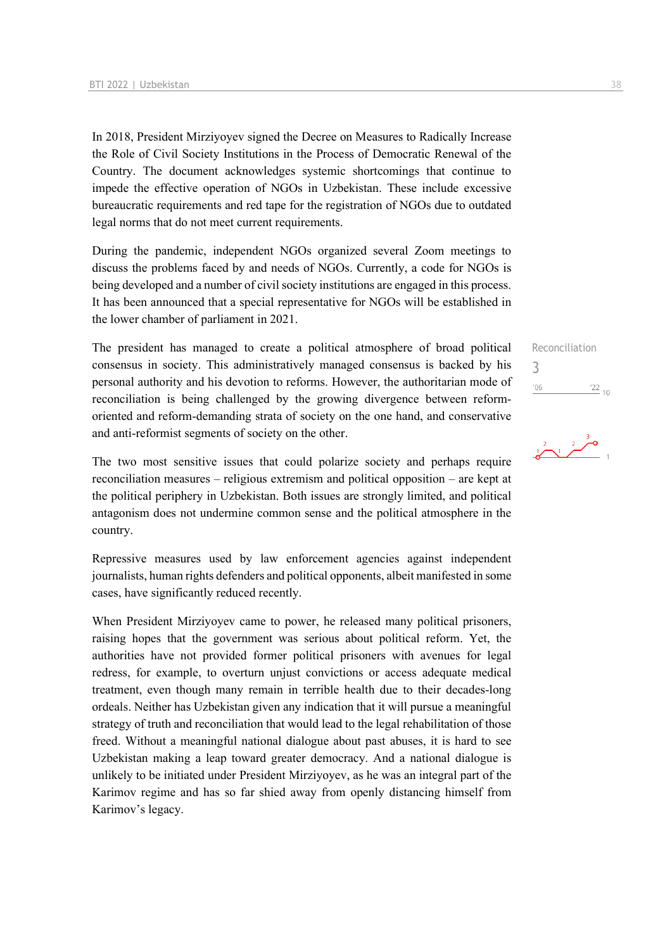In 2018, President Mirziyoyev signed the Decree on Measures to Radically Increase the Role of Civil Society Institutions in the Process of Democratic Renewal of the Country. The document acknowledges systemic shortcomings that continue to impede the effective operation of NGOs in Uzbekistan. These include excessive bureaucratic requirements and red tape for the registration of NGOs due to outdated legal norms that do not meet current requirements.

During the pandemic, independent NGOs organized several Zoom meetings to discuss the problems faced by and needs of NGOs. Currently, a code for NGOs is being developed and a number of civil society institutions are engaged in this process. It has been announced that a special representative for NGOs will be established in the lower chamber of parliament in 2021.

The president has managed to create a political atmosphere of broad political consensus in society. This administratively managed consensus is backed by his personal authority and his devotion to reforms. However, the authoritarian mode of reconciliation is being challenged by the growing divergence between reformoriented and reform-demanding strata of society on the one hand, and conservative and anti-reformist segments of society on the other.

The two most sensitive issues that could polarize society and perhaps require reconciliation measures – religious extremism and political opposition – are kept at the political periphery in Uzbekistan. Both issues are strongly limited, and political antagonism does not undermine common sense and the political atmosphere in the country.

Repressive measures used by law enforcement agencies against independent journalists, human rights defenders and political opponents, albeit manifested in some cases, have significantly reduced recently.

When President Mirziyoyev came to power, he released many political prisoners, raising hopes that the government was serious about political reform. Yet, the authorities have not provided former political prisoners with avenues for legal redress, for example, to overturn unjust convictions or access adequate medical treatment, even though many remain in terrible health due to their decades-long ordeals. Neither has Uzbekistan given any indication that it will pursue a meaningful strategy of truth and reconciliation that would lead to the legal rehabilitation of those freed. Without a meaningful national dialogue about past abuses, it is hard to see Uzbekistan making a leap toward greater democracy. And a national dialogue is unlikely to be initiated under President Mirziyoyev, as he was an integral part of the Karimov regime and has so far shied away from openly distancing himself from Karimov's legacy.

Reconciliation 3 $\frac{22}{10}$  $'06$ 

## $\frac{2}{\sqrt{2}}$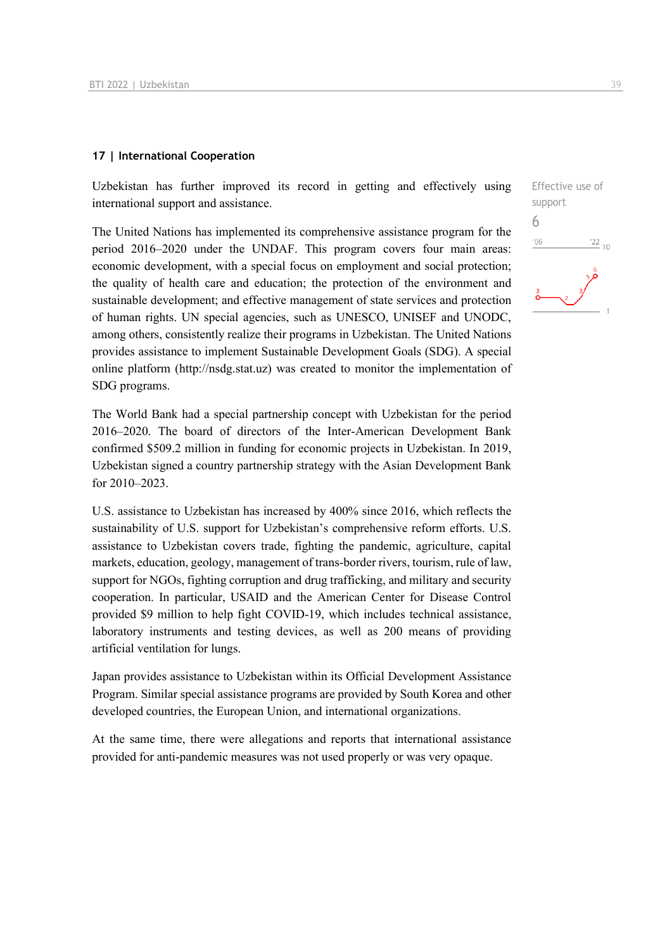#### **17 | International Cooperation**

Uzbekistan has further improved its record in getting and effectively using international support and assistance.

The United Nations has implemented its comprehensive assistance program for the period 2016–2020 under the UNDAF. This program covers four main areas: economic development, with a special focus on employment and social protection; the quality of health care and education; the protection of the environment and sustainable development; and effective management of state services and protection of human rights. UN special agencies, such as UNESCO, UNISEF and UNODC, among others, consistently realize their programs in Uzbekistan. The United Nations provides assistance to implement Sustainable Development Goals (SDG). A special online platform (http://nsdg.stat.uz) was created to monitor the implementation of SDG programs.

The World Bank had a special partnership concept with Uzbekistan for the period 2016–2020. The board of directors of the Inter-American Development Bank confirmed \$509.2 million in funding for economic projects in Uzbekistan. In 2019, Uzbekistan signed a country partnership strategy with the Asian Development Bank for 2010–2023.

U.S. assistance to Uzbekistan has increased by 400% since 2016, which reflects the sustainability of U.S. support for Uzbekistan's comprehensive reform efforts. U.S. assistance to Uzbekistan covers trade, fighting the pandemic, agriculture, capital markets, education, geology, management of trans-border rivers, tourism, rule of law, support for NGOs, fighting corruption and drug trafficking, and military and security cooperation. In particular, USAID and the American Center for Disease Control provided \$9 million to help fight COVID-19, which includes technical assistance, laboratory instruments and testing devices, as well as 200 means of providing artificial ventilation for lungs.

Japan provides assistance to Uzbekistan within its Official Development Assistance Program. Similar special assistance programs are provided by South Korea and other developed countries, the European Union, and international organizations.

At the same time, there were allegations and reports that international assistance provided for anti-pandemic measures was not used properly or was very opaque.

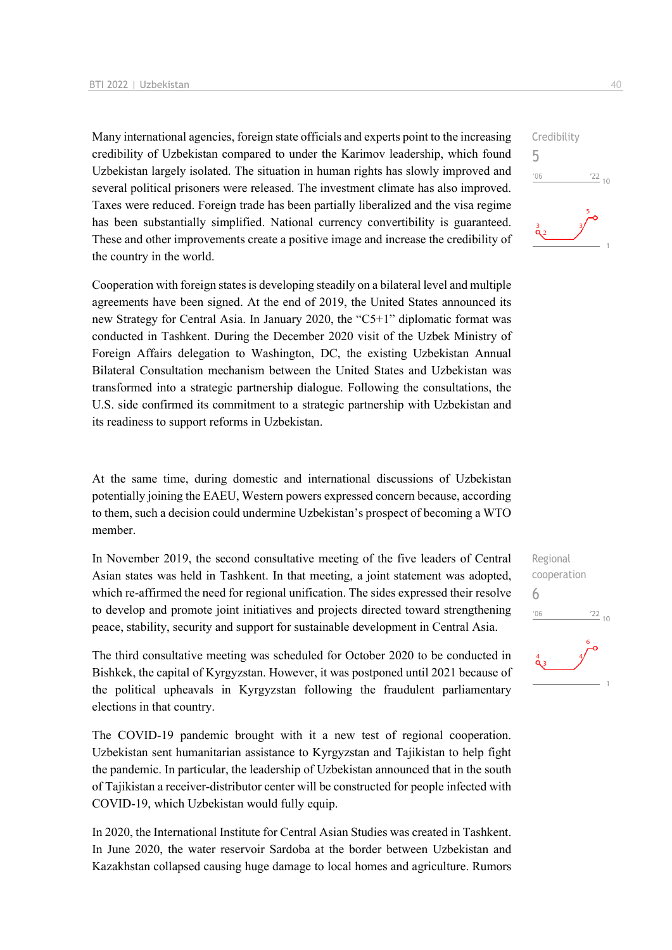Many international agencies, foreign state officials and experts point to the increasing credibility of Uzbekistan compared to under the Karimov leadership, which found Uzbekistan largely isolated. The situation in human rights has slowly improved and several political prisoners were released. The investment climate has also improved. Taxes were reduced. Foreign trade has been partially liberalized and the visa regime has been substantially simplified. National currency convertibility is guaranteed. These and other improvements create a positive image and increase the credibility of the country in the world.

Cooperation with foreign states is developing steadily on a bilateral level and multiple agreements have been signed. At the end of 2019, the United States announced its new Strategy for Central Asia. In January 2020, the "C5+1" diplomatic format was conducted in Tashkent. During the December 2020 visit of the Uzbek Ministry of Foreign Affairs delegation to Washington, DC, the existing Uzbekistan Annual Bilateral Consultation mechanism between the United States and Uzbekistan was transformed into a strategic partnership dialogue. Following the consultations, the U.S. side confirmed its commitment to a strategic partnership with Uzbekistan and its readiness to support reforms in Uzbekistan.

At the same time, during domestic and international discussions of Uzbekistan potentially joining the EAEU, Western powers expressed concern because, according to them, such a decision could undermine Uzbekistan's prospect of becoming a WTO member.

In November 2019, the second consultative meeting of the five leaders of Central Asian states was held in Tashkent. In that meeting, a joint statement was adopted, which re-affirmed the need for regional unification. The sides expressed their resolve to develop and promote joint initiatives and projects directed toward strengthening peace, stability, security and support for sustainable development in Central Asia.

The third consultative meeting was scheduled for October 2020 to be conducted in Bishkek, the capital of Kyrgyzstan. However, it was postponed until 2021 because of the political upheavals in Kyrgyzstan following the fraudulent parliamentary elections in that country.

The COVID-19 pandemic brought with it a new test of regional cooperation. Uzbekistan sent humanitarian assistance to Kyrgyzstan and Tajikistan to help fight the pandemic. In particular, the leadership of Uzbekistan announced that in the south of Tajikistan a receiver-distributor center will be constructed for people infected with COVID-19, which Uzbekistan would fully equip.

In 2020, the International Institute for Central Asian Studies was created in Tashkent. In June 2020, the water reservoir Sardoba at the border between Uzbekistan and Kazakhstan collapsed causing huge damage to local homes and agriculture. Rumors



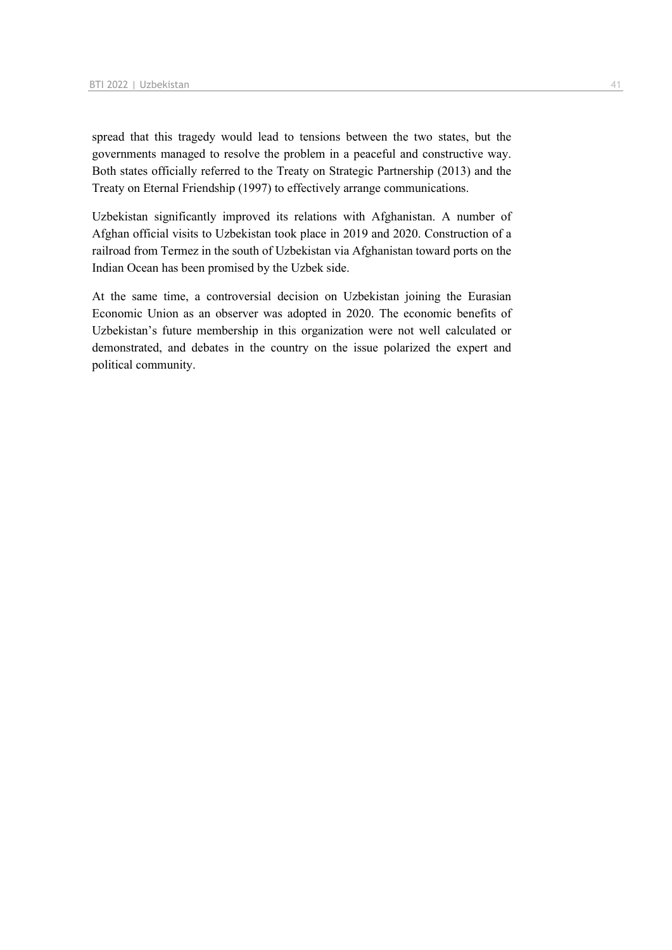spread that this tragedy would lead to tensions between the two states, but the governments managed to resolve the problem in a peaceful and constructive way. Both states officially referred to the Treaty on Strategic Partnership (2013) and the Treaty on Eternal Friendship (1997) to effectively arrange communications.

Uzbekistan significantly improved its relations with Afghanistan. A number of Afghan official visits to Uzbekistan took place in 2019 and 2020. Construction of a railroad from Termez in the south of Uzbekistan via Afghanistan toward ports on the Indian Ocean has been promised by the Uzbek side.

At the same time, a controversial decision on Uzbekistan joining the Eurasian Economic Union as an observer was adopted in 2020. The economic benefits of Uzbekistan's future membership in this organization were not well calculated or demonstrated, and debates in the country on the issue polarized the expert and political community.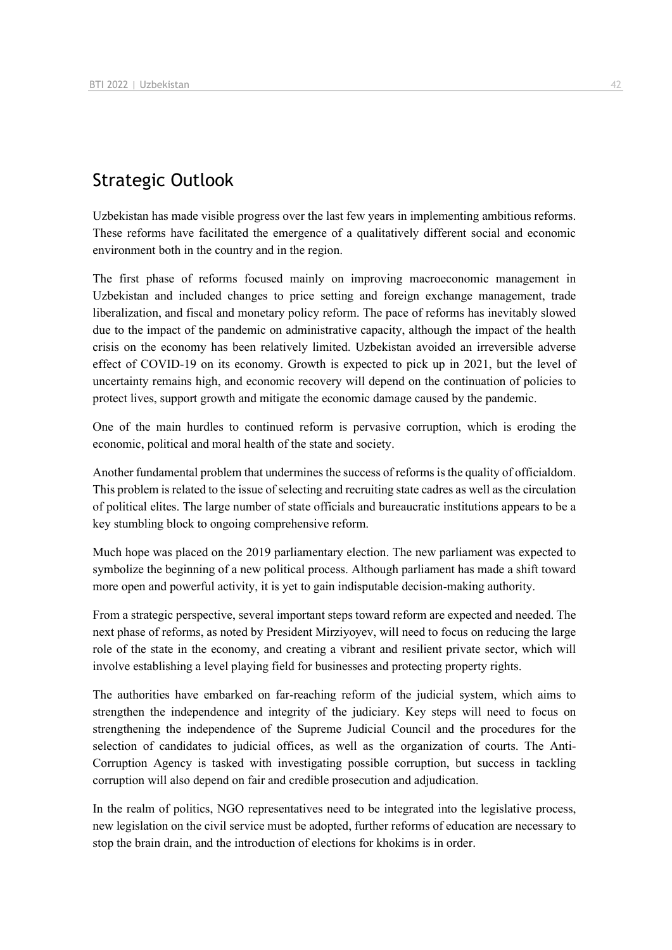## Strategic Outlook

Uzbekistan has made visible progress over the last few years in implementing ambitious reforms. These reforms have facilitated the emergence of a qualitatively different social and economic environment both in the country and in the region.

The first phase of reforms focused mainly on improving macroeconomic management in Uzbekistan and included changes to price setting and foreign exchange management, trade liberalization, and fiscal and monetary policy reform. The pace of reforms has inevitably slowed due to the impact of the pandemic on administrative capacity, although the impact of the health crisis on the economy has been relatively limited. Uzbekistan avoided an irreversible adverse effect of COVID-19 on its economy. Growth is expected to pick up in 2021, but the level of uncertainty remains high, and economic recovery will depend on the continuation of policies to protect lives, support growth and mitigate the economic damage caused by the pandemic.

One of the main hurdles to continued reform is pervasive corruption, which is eroding the economic, political and moral health of the state and society.

Another fundamental problem that undermines the success of reforms is the quality of officialdom. This problem is related to the issue of selecting and recruiting state cadres as well as the circulation of political elites. The large number of state officials and bureaucratic institutions appears to be a key stumbling block to ongoing comprehensive reform.

Much hope was placed on the 2019 parliamentary election. The new parliament was expected to symbolize the beginning of a new political process. Although parliament has made a shift toward more open and powerful activity, it is yet to gain indisputable decision-making authority.

From a strategic perspective, several important steps toward reform are expected and needed. The next phase of reforms, as noted by President Mirziyoyev, will need to focus on reducing the large role of the state in the economy, and creating a vibrant and resilient private sector, which will involve establishing a level playing field for businesses and protecting property rights.

The authorities have embarked on far-reaching reform of the judicial system, which aims to strengthen the independence and integrity of the judiciary. Key steps will need to focus on strengthening the independence of the Supreme Judicial Council and the procedures for the selection of candidates to judicial offices, as well as the organization of courts. The Anti-Corruption Agency is tasked with investigating possible corruption, but success in tackling corruption will also depend on fair and credible prosecution and adjudication.

In the realm of politics, NGO representatives need to be integrated into the legislative process, new legislation on the civil service must be adopted, further reforms of education are necessary to stop the brain drain, and the introduction of elections for khokims is in order.